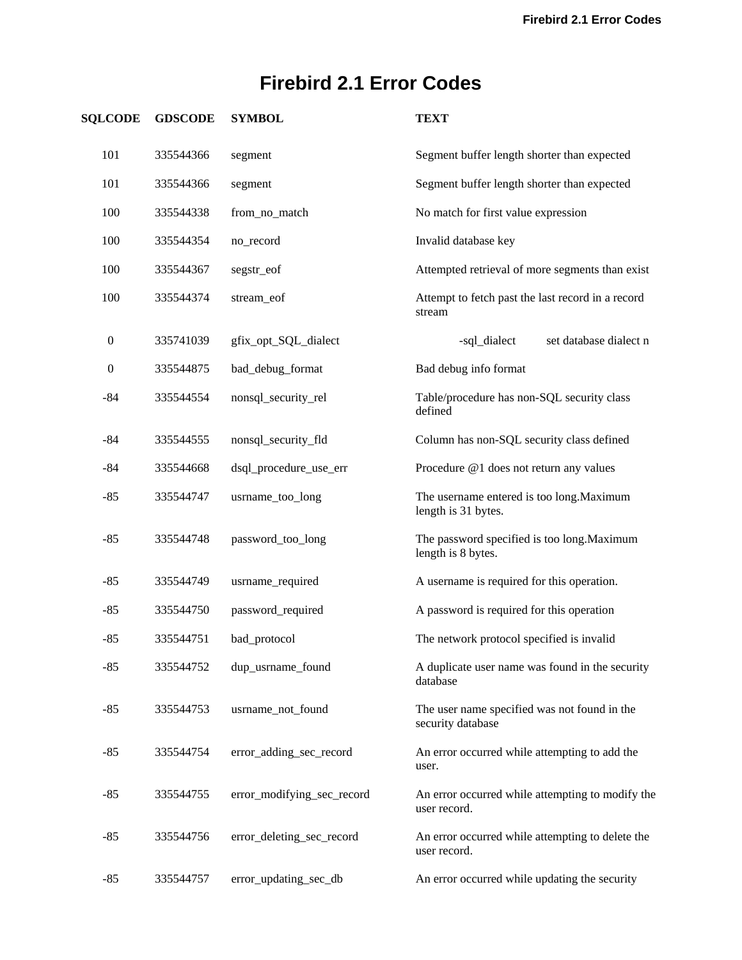## **Firebird 2.1 Error Codes**

| <b>SQLCODE</b>   | <b>GDSCODE</b> | <b>SYMBOL</b>              | <b>TEXT</b>                                                       |
|------------------|----------------|----------------------------|-------------------------------------------------------------------|
| 101              | 335544366      | segment                    | Segment buffer length shorter than expected                       |
| 101              | 335544366      | segment                    | Segment buffer length shorter than expected                       |
| 100              | 335544338      | from_no_match              | No match for first value expression                               |
| 100              | 335544354      | no_record                  | Invalid database key                                              |
| 100              | 335544367      | segstr_eof                 | Attempted retrieval of more segments than exist                   |
| 100              | 335544374      | stream_eof                 | Attempt to fetch past the last record in a record<br>stream       |
| $\boldsymbol{0}$ | 335741039      | gfix_opt_SQL_dialect       | -sql_dialect<br>set database dialect n                            |
| $\boldsymbol{0}$ | 335544875      | bad_debug_format           | Bad debug info format                                             |
| -84              | 335544554      | nonsql_security_rel        | Table/procedure has non-SQL security class<br>defined             |
| $-84$            | 335544555      | nonsql_security_fld        | Column has non-SQL security class defined                         |
| $-84$            | 335544668      | dsql_procedure_use_err     | Procedure @1 does not return any values                           |
| $-85$            | 335544747      | usrname_too_long           | The username entered is too long. Maximum<br>length is 31 bytes.  |
| $-85$            | 335544748      | password_too_long          | The password specified is too long. Maximum<br>length is 8 bytes. |
| $-85$            | 335544749      | usrname_required           | A username is required for this operation.                        |
| $-85$            | 335544750      | password_required          | A password is required for this operation                         |
| $-85$            | 335544751      | bad_protocol               | The network protocol specified is invalid                         |
| $-85$            | 335544752      | dup_usrname_found          | A duplicate user name was found in the security<br>database       |
| $-85$            | 335544753      | usrname_not_found          | The user name specified was not found in the<br>security database |
| $-85$            | 335544754      | error_adding_sec_record    | An error occurred while attempting to add the<br>user.            |
| $-85$            | 335544755      | error_modifying_sec_record | An error occurred while attempting to modify the<br>user record.  |
| $-85$            | 335544756      | error_deleting_sec_record  | An error occurred while attempting to delete the<br>user record.  |
| $-85$            | 335544757      | error_updating_sec_db      | An error occurred while updating the security                     |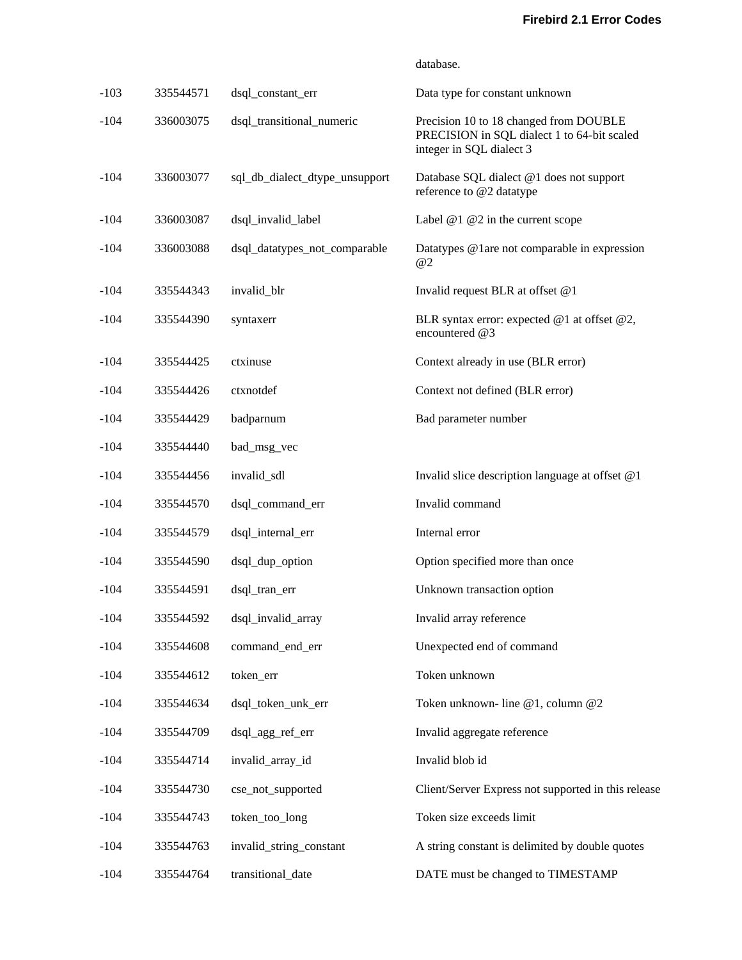| $-103$ | 335544571 | dsql_constant_err              | Data type for constant unknown                                                                                    |
|--------|-----------|--------------------------------|-------------------------------------------------------------------------------------------------------------------|
| $-104$ | 336003075 | dsql_transitional_numeric      | Precision 10 to 18 changed from DOUBLE<br>PRECISION in SQL dialect 1 to 64-bit scaled<br>integer in SQL dialect 3 |
| $-104$ | 336003077 | sql_db_dialect_dtype_unsupport | Database SQL dialect @1 does not support<br>reference to @2 datatype                                              |
| $-104$ | 336003087 | dsql_invalid_label             | Label $@1@2$ in the current scope                                                                                 |
| $-104$ | 336003088 | dsql_datatypes_not_comparable  | Datatypes @ lare not comparable in expression<br>@2                                                               |
| $-104$ | 335544343 | invalid_blr                    | Invalid request BLR at offset @1                                                                                  |
| $-104$ | 335544390 | syntaxerr                      | BLR syntax error: expected $@1$ at offset $@2$ ,<br>encountered $@3$                                              |
| $-104$ | 335544425 | ctxinuse                       | Context already in use (BLR error)                                                                                |
| $-104$ | 335544426 | ctxnotdef                      | Context not defined (BLR error)                                                                                   |
| $-104$ | 335544429 | badparnum                      | Bad parameter number                                                                                              |
| $-104$ | 335544440 | bad_msg_vec                    |                                                                                                                   |
| $-104$ | 335544456 | invalid_sdl                    | Invalid slice description language at offset @1                                                                   |
| $-104$ | 335544570 | dsql_command_err               | Invalid command                                                                                                   |
| $-104$ | 335544579 | dsql_internal_err              | Internal error                                                                                                    |
| $-104$ | 335544590 | dsql_dup_option                | Option specified more than once                                                                                   |
| -104   | 335544591 | dsql_tran_err                  | Unknown transaction option                                                                                        |
| $-104$ | 335544592 | dsql_invalid_array             | Invalid array reference                                                                                           |
| $-104$ | 335544608 | command_end_err                | Unexpected end of command                                                                                         |
| $-104$ | 335544612 | token_err                      | Token unknown                                                                                                     |
| $-104$ | 335544634 | dsql_token_unk_err             | Token unknown-line @1, column @2                                                                                  |
| $-104$ | 335544709 | dsql_agg_ref_err               | Invalid aggregate reference                                                                                       |
| $-104$ | 335544714 | invalid_array_id               | Invalid blob id                                                                                                   |
| $-104$ | 335544730 | cse_not_supported              | Client/Server Express not supported in this release                                                               |
| $-104$ | 335544743 | token_too_long                 | Token size exceeds limit                                                                                          |
| $-104$ | 335544763 | invalid_string_constant        | A string constant is delimited by double quotes                                                                   |
| $-104$ | 335544764 | transitional_date              | DATE must be changed to TIMESTAMP                                                                                 |

database.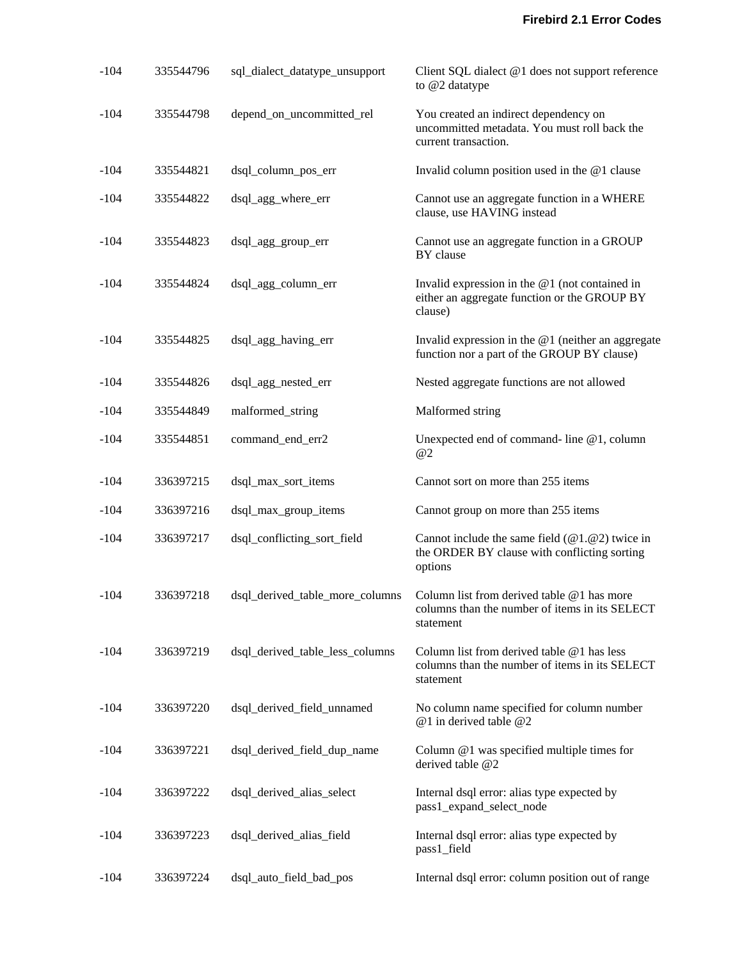| $-104$ | 335544796 | sql_dialect_datatype_unsupport  | Client SQL dialect @1 does not support reference<br>to @2 datatype                                                                |
|--------|-----------|---------------------------------|-----------------------------------------------------------------------------------------------------------------------------------|
| $-104$ | 335544798 | depend_on_uncommitted_rel       | You created an indirect dependency on<br>uncommitted metadata. You must roll back the<br>current transaction.                     |
| $-104$ | 335544821 | dsql_column_pos_err             | Invalid column position used in the @1 clause                                                                                     |
| $-104$ | 335544822 | dsql_agg_where_err              | Cannot use an aggregate function in a WHERE<br>clause, use HAVING instead                                                         |
| $-104$ | 335544823 | dsql_agg_group_err              | Cannot use an aggregate function in a GROUP<br>BY clause                                                                          |
| $-104$ | 335544824 | dsql_agg_column_err             | Invalid expression in the $@1$ (not contained in<br>either an aggregate function or the GROUP BY<br>clause)                       |
| $-104$ | 335544825 | dsql_agg_having_err             | Invalid expression in the $@1$ (neither an aggregate<br>function nor a part of the GROUP BY clause)                               |
| $-104$ | 335544826 | dsql_agg_nested_err             | Nested aggregate functions are not allowed                                                                                        |
| $-104$ | 335544849 | malformed_string                | Malformed string                                                                                                                  |
| $-104$ | 335544851 | command_end_err2                | Unexpected end of command-line $@1$ , column<br>@2                                                                                |
| $-104$ | 336397215 | dsql_max_sort_items             | Cannot sort on more than 255 items                                                                                                |
| $-104$ | 336397216 | dsql_max_group_items            | Cannot group on more than 255 items                                                                                               |
| $-104$ | 336397217 | dsql_conflicting_sort_field     | Cannot include the same field $(\mathcal{Q}_1 \mathcal{Q}_2)$ twice in<br>the ORDER BY clause with conflicting sorting<br>options |
| $-104$ | 336397218 | dsql_derived_table_more_columns | Column list from derived table @1 has more<br>columns than the number of items in its SELECT<br>statement                         |
| $-104$ | 336397219 | dsql_derived_table_less_columns | Column list from derived table $@1$ has less<br>columns than the number of items in its SELECT<br>statement                       |
| $-104$ | 336397220 | dsql_derived_field_unnamed      | No column name specified for column number<br>@1 in derived table @2                                                              |
| $-104$ | 336397221 | dsql_derived_field_dup_name     | Column $@1$ was specified multiple times for<br>derived table @2                                                                  |
| $-104$ | 336397222 | dsql_derived_alias_select       | Internal dsql error: alias type expected by<br>pass1_expand_select_node                                                           |
| $-104$ | 336397223 | dsql_derived_alias_field        | Internal dsql error: alias type expected by<br>pass1_field                                                                        |
| $-104$ | 336397224 | dsql_auto_field_bad_pos         | Internal dsql error: column position out of range                                                                                 |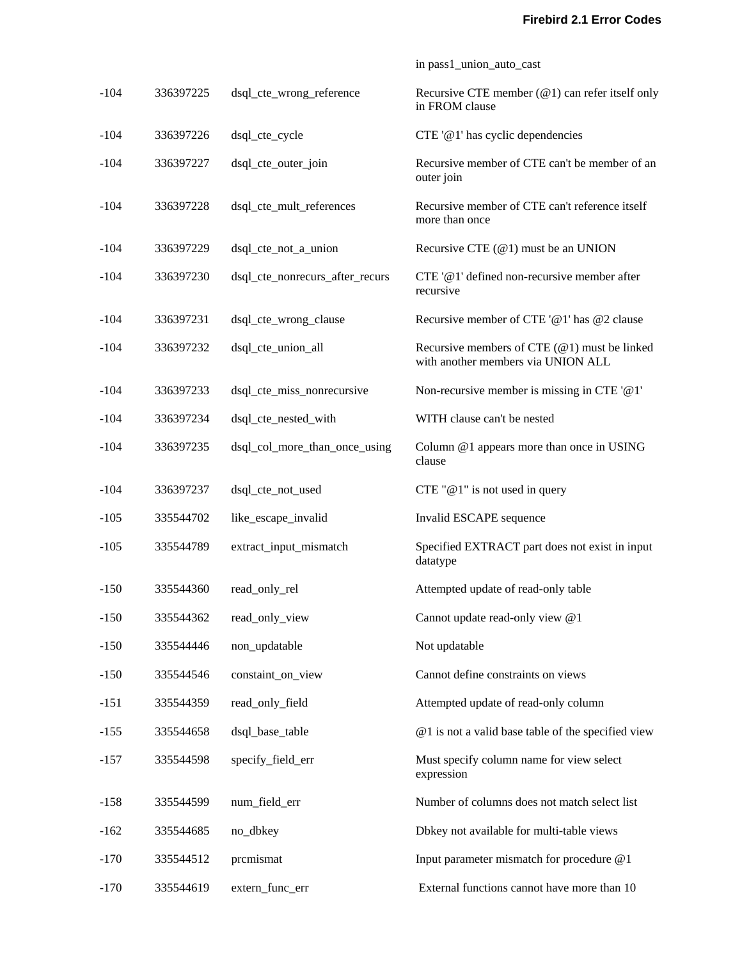in pass1\_union\_auto\_cast

| $-104$ | 336397225 | dsql_cte_wrong_reference        | Recursive CTE member $(\textcircled{a}1)$ can refer itself only<br>in FROM clause  |
|--------|-----------|---------------------------------|------------------------------------------------------------------------------------|
| $-104$ | 336397226 | dsql_cte_cycle                  | CTE '@1' has cyclic dependencies                                                   |
| $-104$ | 336397227 | dsql_cte_outer_join             | Recursive member of CTE can't be member of an<br>outer join                        |
| $-104$ | 336397228 | dsql_cte_mult_references        | Recursive member of CTE can't reference itself<br>more than once                   |
| $-104$ | 336397229 | dsql_cte_not_a_union            | Recursive CTE (@1) must be an UNION                                                |
| $-104$ | 336397230 | dsql_cte_nonrecurs_after_recurs | CTE '@1' defined non-recursive member after<br>recursive                           |
| $-104$ | 336397231 | dsql_cte_wrong_clause           | Recursive member of CTE '@1' has @2 clause                                         |
| $-104$ | 336397232 | dsql_cte_union_all              | Recursive members of CTE (@1) must be linked<br>with another members via UNION ALL |
| $-104$ | 336397233 | dsql_cte_miss_nonrecursive      | Non-recursive member is missing in CTE '@1'                                        |
| $-104$ | 336397234 | dsql_cte_nested_with            | WITH clause can't be nested                                                        |
| -104   | 336397235 | dsql_col_more_than_once_using   | Column @1 appears more than once in USING<br>clause                                |
| $-104$ | 336397237 | dsql_cte_not_used               | CTE " $@1$ " is not used in query                                                  |
| $-105$ | 335544702 | like_escape_invalid             | Invalid ESCAPE sequence                                                            |
| $-105$ | 335544789 | extract_input_mismatch          | Specified EXTRACT part does not exist in input<br>datatype                         |
| $-150$ | 335544360 | read_only_rel                   | Attempted update of read-only table                                                |
| $-150$ | 335544362 | read_only_view                  | Cannot update read-only view @1                                                    |
| $-150$ | 335544446 | non_updatable                   | Not updatable                                                                      |
| $-150$ | 335544546 | constaint_on_view               | Cannot define constraints on views                                                 |
| $-151$ | 335544359 | read_only_field                 | Attempted update of read-only column                                               |
| $-155$ | 335544658 | dsql_base_table                 | @1 is not a valid base table of the specified view                                 |
| $-157$ | 335544598 | specify_field_err               | Must specify column name for view select<br>expression                             |
| $-158$ | 335544599 | num_field_err                   | Number of columns does not match select list                                       |
| $-162$ | 335544685 | no_dbkey                        | Dbkey not available for multi-table views                                          |
| $-170$ | 335544512 | prcmismat                       | Input parameter mismatch for procedure @1                                          |
| $-170$ | 335544619 | extern_func_err                 | External functions cannot have more than 10                                        |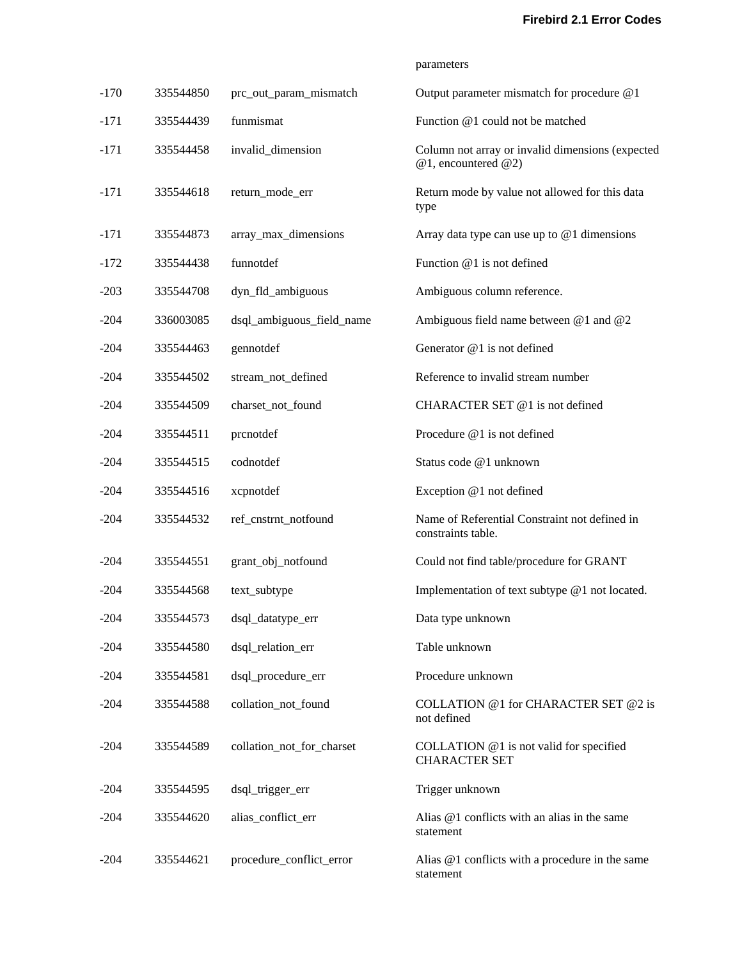| -170   | 335544850 | prc_out_param_mismatch    | Output parameter mismatch for procedure @1                                   |
|--------|-----------|---------------------------|------------------------------------------------------------------------------|
| -171   | 335544439 | funmismat                 | Function @1 could not be matched                                             |
| -171   | 335544458 | invalid_dimension         | Column not array or invalid dimensions (expected<br>$@1$ , encountered $@2)$ |
| -171   | 335544618 | return_mode_err           | Return mode by value not allowed for this data<br>type                       |
| -171   | 335544873 | array_max_dimensions      | Array data type can use up to $@1$ dimensions                                |
| -172   | 335544438 | funnotdef                 | Function @1 is not defined                                                   |
| $-203$ | 335544708 | dyn_fld_ambiguous         | Ambiguous column reference.                                                  |
| $-204$ | 336003085 | dsql_ambiguous_field_name | Ambiguous field name between @1 and @2                                       |
| $-204$ | 335544463 | gennotdef                 | Generator $@1$ is not defined                                                |
| $-204$ | 335544502 | stream_not_defined        | Reference to invalid stream number                                           |
| $-204$ | 335544509 | charset_not_found         | CHARACTER SET @1 is not defined                                              |
| $-204$ | 335544511 | prcnotdef                 | Procedure @1 is not defined                                                  |
| $-204$ | 335544515 | codnotdef                 | Status code @1 unknown                                                       |
| $-204$ | 335544516 | xcpnotdef                 | Exception @1 not defined                                                     |
| $-204$ | 335544532 | ref_cnstrnt_notfound      | Name of Referential Constraint not defined in<br>constraints table.          |
| $-204$ | 335544551 | grant_obj_notfound        | Could not find table/procedure for GRANT                                     |
| $-204$ | 335544568 | text_subtype              | Implementation of text subtype @1 not located.                               |
| $-204$ | 335544573 | dsql_datatype_err         | Data type unknown                                                            |
| $-204$ | 335544580 | dsql_relation_err         | Table unknown                                                                |
| $-204$ | 335544581 | dsql_procedure_err        | Procedure unknown                                                            |
| $-204$ | 335544588 | collation_not_found       | COLLATION @1 for CHARACTER SET @2 is<br>not defined                          |

CHARACTER SET

statement

parameters

## -204 335544589 collation\_not\_for\_charset COLLATION @1 is not valid for specified

-204 335544595 dsql\_trigger\_err Trigger unknown -204 335544620 alias\_conflict\_err Alias @1 conflicts with an alias in the same statement -204 335544621 procedure\_conflict\_error Alias @1 conflicts with a procedure in the same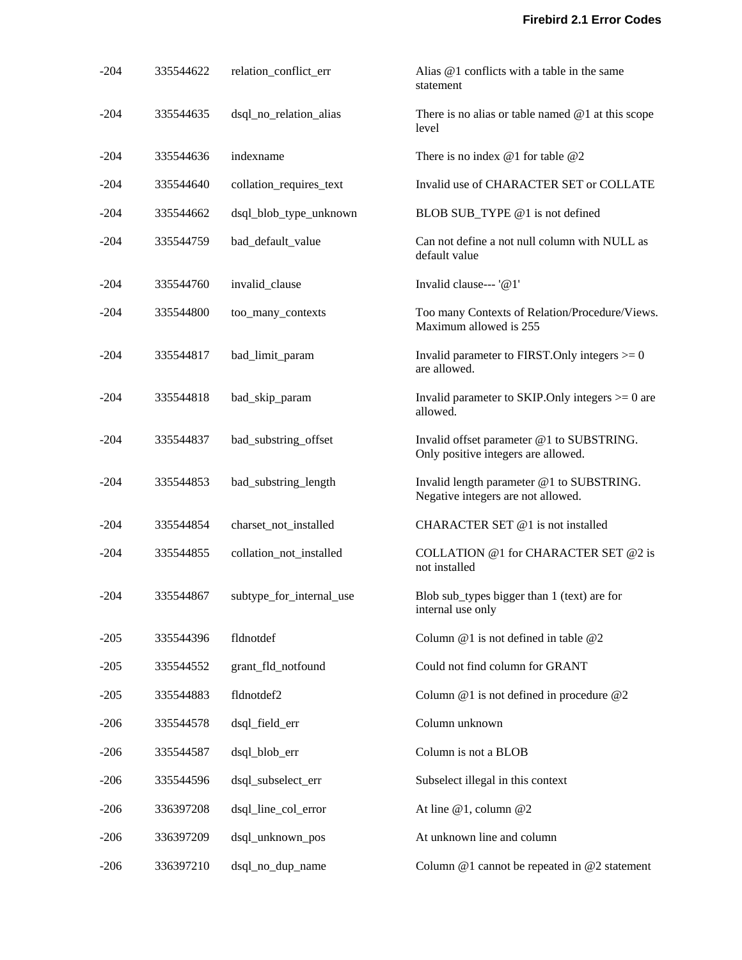| $-204$ | 335544622 | relation_conflict_err    | Alias @1 conflicts with a table in the same<br>statement                         |
|--------|-----------|--------------------------|----------------------------------------------------------------------------------|
| $-204$ | 335544635 | dsql_no_relation_alias   | There is no alias or table named $@1$ at this scope<br>level                     |
| $-204$ | 335544636 | indexname                | There is no index $@1$ for table $@2$                                            |
| $-204$ | 335544640 | collation_requires_text  | Invalid use of CHARACTER SET or COLLATE                                          |
| $-204$ | 335544662 | dsql_blob_type_unknown   | BLOB SUB_TYPE @1 is not defined                                                  |
| $-204$ | 335544759 | bad_default_value        | Can not define a not null column with NULL as<br>default value                   |
| $-204$ | 335544760 | invalid_clause           | Invalid clause--- '@1'                                                           |
| $-204$ | 335544800 | too_many_contexts        | Too many Contexts of Relation/Procedure/Views.<br>Maximum allowed is 255         |
| $-204$ | 335544817 | bad_limit_param          | Invalid parameter to FIRST. Only integers $\geq 0$<br>are allowed.               |
| $-204$ | 335544818 | bad_skip_param           | Invalid parameter to SKIP. Only integers $\geq 0$ are<br>allowed.                |
| $-204$ | 335544837 | bad_substring_offset     | Invalid offset parameter @1 to SUBSTRING.<br>Only positive integers are allowed. |
| $-204$ | 335544853 | bad_substring_length     | Invalid length parameter @1 to SUBSTRING.<br>Negative integers are not allowed.  |
| $-204$ | 335544854 | charset_not_installed    | CHARACTER SET @1 is not installed                                                |
| $-204$ | 335544855 | collation_not_installed  | COLLATION @1 for CHARACTER SET @2 is<br>not installed                            |
| $-204$ | 335544867 | subtype_for_internal_use | Blob sub_types bigger than 1 (text) are for<br>internal use only                 |
| $-205$ | 335544396 | fldnotdef                | Column $@1$ is not defined in table $@2$                                         |
| $-205$ | 335544552 | grant_fld_notfound       | Could not find column for GRANT                                                  |
| $-205$ | 335544883 | fldnotdef2               | Column $@1$ is not defined in procedure $@2$                                     |
| $-206$ | 335544578 | dsql_field_err           | Column unknown                                                                   |
| $-206$ | 335544587 | dsql_blob_err            | Column is not a BLOB                                                             |
| $-206$ | 335544596 | dsql_subselect_err       | Subselect illegal in this context                                                |
| $-206$ | 336397208 | dsql_line_col_error      | At line @1, column @2                                                            |
| $-206$ | 336397209 | dsql_unknown_pos         | At unknown line and column                                                       |
| $-206$ | 336397210 | dsql_no_dup_name         | Column $@1$ cannot be repeated in $@2$ statement                                 |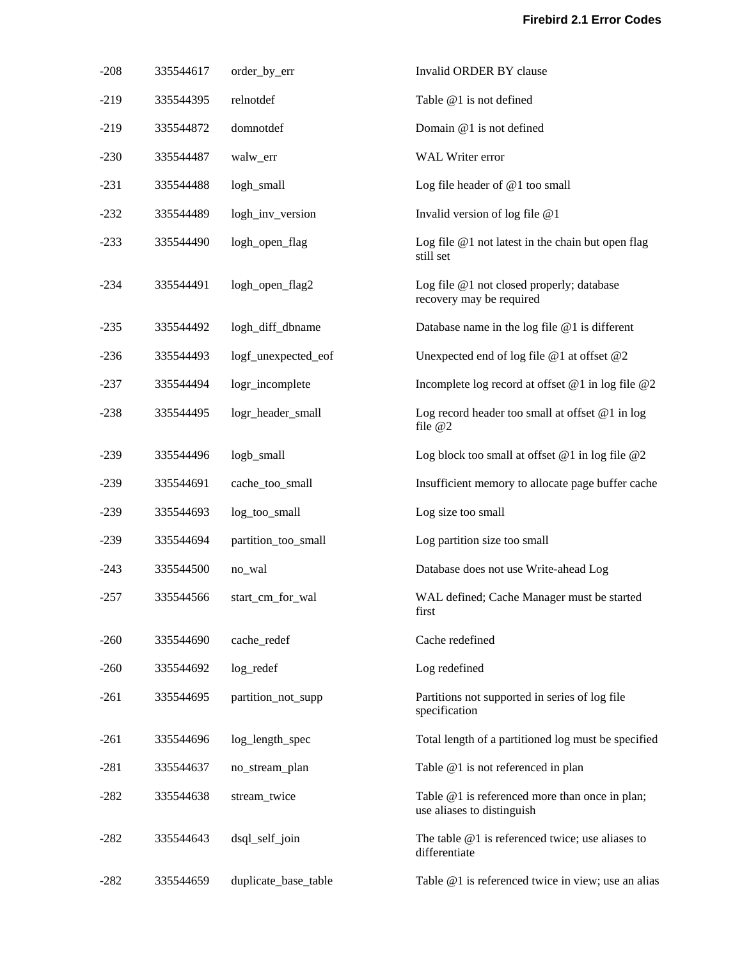| $-208$ | 335544617 | order_by_err         | Invalid ORDER BY clause                                                      |
|--------|-----------|----------------------|------------------------------------------------------------------------------|
| $-219$ | 335544395 | relnotdef            | Table @1 is not defined                                                      |
| $-219$ | 335544872 | domnotdef            | Domain @1 is not defined                                                     |
| $-230$ | 335544487 | walw_err             | WAL Writer error                                                             |
| $-231$ | 335544488 | logh_small           | Log file header of $@1$ too small                                            |
| $-232$ | 335544489 | logh_inv_version     | Invalid version of log file @1                                               |
| $-233$ | 335544490 | logh_open_flag       | Log file $@1$ not latest in the chain but open flag<br>still set             |
| $-234$ | 335544491 | logh_open_flag2      | Log file @1 not closed properly; database<br>recovery may be required        |
| $-235$ | 335544492 | logh_diff_dbname     | Database name in the log file $@1$ is different                              |
| $-236$ | 335544493 | logf_unexpected_eof  | Unexpected end of log file @1 at offset @2                                   |
| $-237$ | 335544494 | logr_incomplete      | Incomplete log record at offset @1 in log file @2                            |
| $-238$ | 335544495 | logr_header_small    | Log record header too small at offset $@1$ in log<br>file $@2$               |
| $-239$ | 335544496 | logb_small           | Log block too small at offset $@1$ in log file $@2$                          |
| $-239$ | 335544691 | cache_too_small      | Insufficient memory to allocate page buffer cache                            |
| $-239$ | 335544693 | log_too_small        | Log size too small                                                           |
| $-239$ | 335544694 | partition_too_small  | Log partition size too small                                                 |
| $-243$ | 335544500 | no_wal               | Database does not use Write-ahead Log                                        |
| $-257$ | 335544566 | start_cm_for_wal     | WAL defined; Cache Manager must be started<br>first                          |
| $-260$ | 335544690 | cache_redef          | Cache redefined                                                              |
| $-260$ | 335544692 | log_redef            | Log redefined                                                                |
| $-261$ | 335544695 | partition_not_supp   | Partitions not supported in series of log file<br>specification              |
| $-261$ | 335544696 | log_length_spec      | Total length of a partitioned log must be specified                          |
| $-281$ | 335544637 | no_stream_plan       | Table @1 is not referenced in plan                                           |
| $-282$ | 335544638 | stream_twice         | Table @1 is referenced more than once in plan;<br>use aliases to distinguish |
| $-282$ | 335544643 | dsql_self_join       | The table $@1$ is referenced twice; use aliases to<br>differentiate          |
| $-282$ | 335544659 | duplicate_base_table | Table @1 is referenced twice in view; use an alias                           |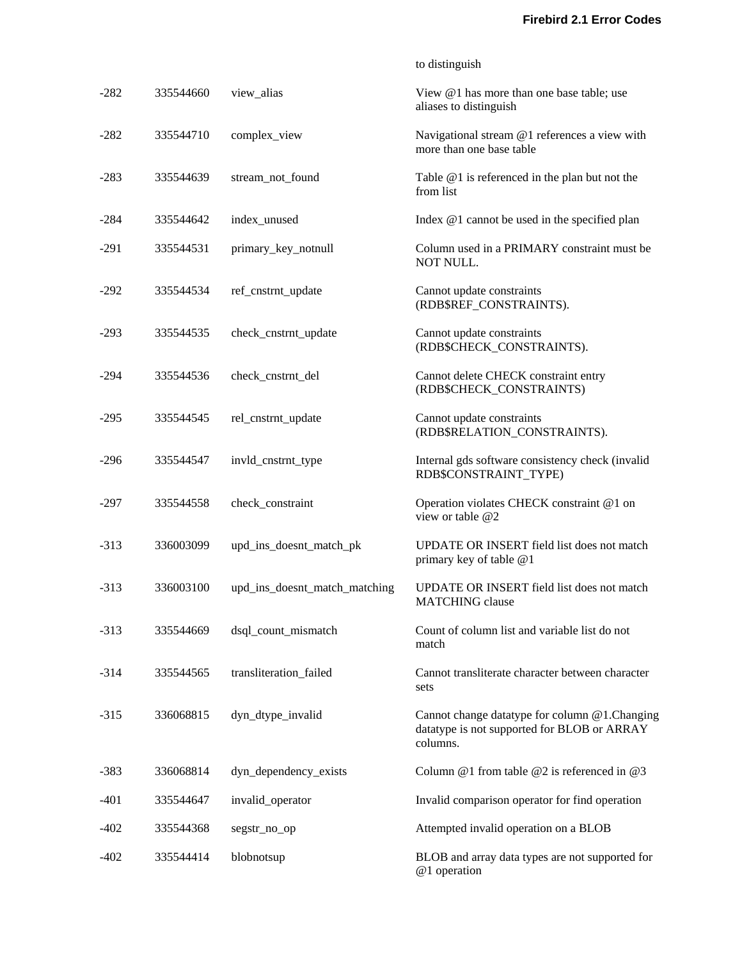|        |           |                               | to distinguish                                                                                           |
|--------|-----------|-------------------------------|----------------------------------------------------------------------------------------------------------|
| $-282$ | 335544660 | view_alias                    | View @1 has more than one base table; use<br>aliases to distinguish                                      |
| $-282$ | 335544710 | complex_view                  | Navigational stream @1 references a view with<br>more than one base table                                |
| $-283$ | 335544639 | stream_not_found              | Table $@1$ is referenced in the plan but not the<br>from list                                            |
| $-284$ | 335544642 | index_unused                  | Index @1 cannot be used in the specified plan                                                            |
| $-291$ | 335544531 | primary_key_notnull           | Column used in a PRIMARY constraint must be<br>NOT NULL.                                                 |
| $-292$ | 335544534 | ref_cnstrnt_update            | Cannot update constraints<br>(RDB\$REF_CONSTRAINTS).                                                     |
| $-293$ | 335544535 | check_cnstrnt_update          | Cannot update constraints<br>(RDB\$CHECK_CONSTRAINTS).                                                   |
| $-294$ | 335544536 | check_cnstrnt_del             | Cannot delete CHECK constraint entry<br>(RDB\$CHECK_CONSTRAINTS)                                         |
| $-295$ | 335544545 | rel_cnstrnt_update            | Cannot update constraints<br>(RDB\$RELATION_CONSTRAINTS).                                                |
| $-296$ | 335544547 | invld_cnstrnt_type            | Internal gds software consistency check (invalid<br>RDB\$CONSTRAINT_TYPE)                                |
| $-297$ | 335544558 | check_constraint              | Operation violates CHECK constraint @1 on<br>view or table @2                                            |
| $-313$ | 336003099 | upd_ins_doesnt_match_pk       | UPDATE OR INSERT field list does not match<br>primary key of table $@1$                                  |
| $-313$ | 336003100 | upd_ins_doesnt_match_matching | UPDATE OR INSERT field list does not match<br><b>MATCHING</b> clause                                     |
| $-313$ | 335544669 | dsql_count_mismatch           | Count of column list and variable list do not<br>match                                                   |
| $-314$ | 335544565 | transliteration_failed        | Cannot transliterate character between character<br>sets                                                 |
| $-315$ | 336068815 | dyn_dtype_invalid             | Cannot change datatype for column @1.Changing<br>datatype is not supported for BLOB or ARRAY<br>columns. |
| $-383$ | 336068814 | dyn_dependency_exists         | Column $@1$ from table $@2$ is referenced in $@3$                                                        |
| $-401$ | 335544647 | invalid_operator              | Invalid comparison operator for find operation                                                           |
| $-402$ | 335544368 | segstr_no_op                  | Attempted invalid operation on a BLOB                                                                    |
| -402   | 335544414 | blobnotsup                    | BLOB and array data types are not supported for<br>@1 operation                                          |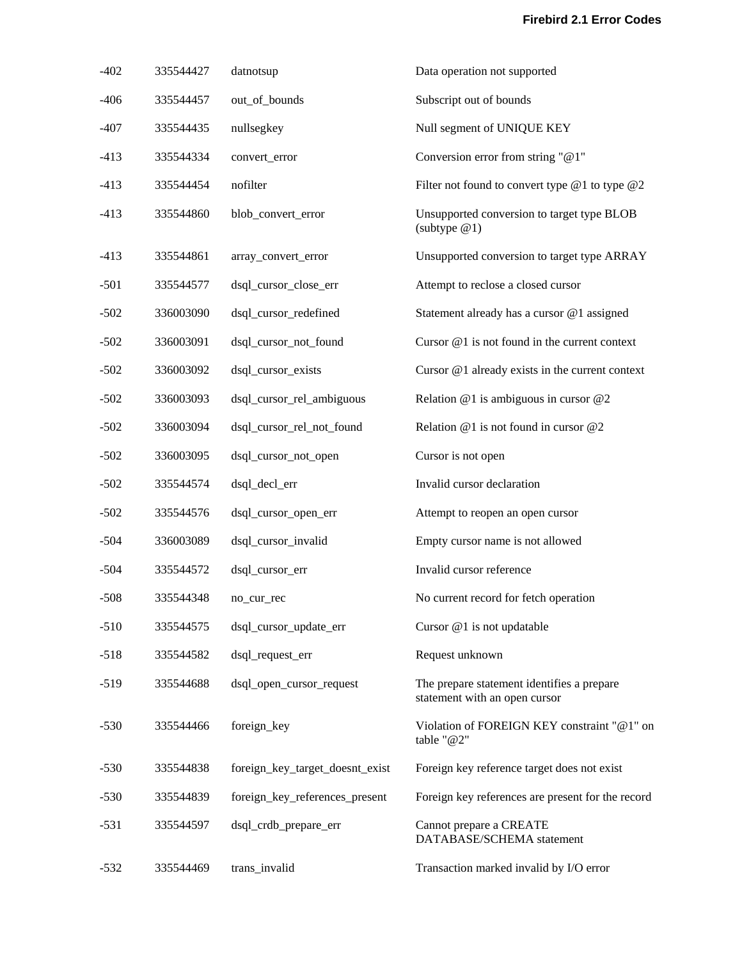| $-402$ | 335544427 | datnotsup                       | Data operation not supported                                                |
|--------|-----------|---------------------------------|-----------------------------------------------------------------------------|
| $-406$ | 335544457 | out_of_bounds                   | Subscript out of bounds                                                     |
| $-407$ | 335544435 | nullsegkey                      | Null segment of UNIQUE KEY                                                  |
| -413   | 335544334 | convert_error                   | Conversion error from string "@1"                                           |
| $-413$ | 335544454 | nofilter                        | Filter not found to convert type $@1$ to type $@2$                          |
| $-413$ | 335544860 | blob_convert_error              | Unsupported conversion to target type BLOB<br>(subtype $@1)$                |
| -413   | 335544861 | array_convert_error             | Unsupported conversion to target type ARRAY                                 |
| $-501$ | 335544577 | dsql_cursor_close_err           | Attempt to reclose a closed cursor                                          |
| $-502$ | 336003090 | dsql_cursor_redefined           | Statement already has a cursor @1 assigned                                  |
| $-502$ | 336003091 | dsql_cursor_not_found           | Cursor $@1$ is not found in the current context                             |
| $-502$ | 336003092 | dsql_cursor_exists              | Cursor $@1$ already exists in the current context                           |
| $-502$ | 336003093 | dsql_cursor_rel_ambiguous       | Relation $@1$ is ambiguous in cursor $@2$                                   |
| $-502$ | 336003094 | dsql_cursor_rel_not_found       | Relation @1 is not found in cursor @2                                       |
| $-502$ | 336003095 | dsql_cursor_not_open            | Cursor is not open                                                          |
| $-502$ | 335544574 | dsql_decl_err                   | Invalid cursor declaration                                                  |
| $-502$ | 335544576 | dsql_cursor_open_err            | Attempt to reopen an open cursor                                            |
| $-504$ | 336003089 | dsql_cursor_invalid             | Empty cursor name is not allowed                                            |
| $-504$ | 335544572 | dsql_cursor_err                 | Invalid cursor reference                                                    |
| $-508$ | 335544348 | no cur rec                      | No current record for fetch operation                                       |
| $-510$ | 335544575 | dsql_cursor_update_err          | Cursor @1 is not updatable                                                  |
| $-518$ | 335544582 | dsql_request_err                | Request unknown                                                             |
| $-519$ | 335544688 | dsql_open_cursor_request        | The prepare statement identifies a prepare<br>statement with an open cursor |
| -530   | 335544466 | foreign_key                     | Violation of FOREIGN KEY constraint "@1" on<br>table "@2"                   |
| $-530$ | 335544838 | foreign_key_target_doesnt_exist | Foreign key reference target does not exist                                 |
| -530   | 335544839 | foreign_key_references_present  | Foreign key references are present for the record                           |
| $-531$ | 335544597 | dsql_crdb_prepare_err           | Cannot prepare a CREATE<br>DATABASE/SCHEMA statement                        |
| $-532$ | 335544469 | trans_invalid                   | Transaction marked invalid by I/O error                                     |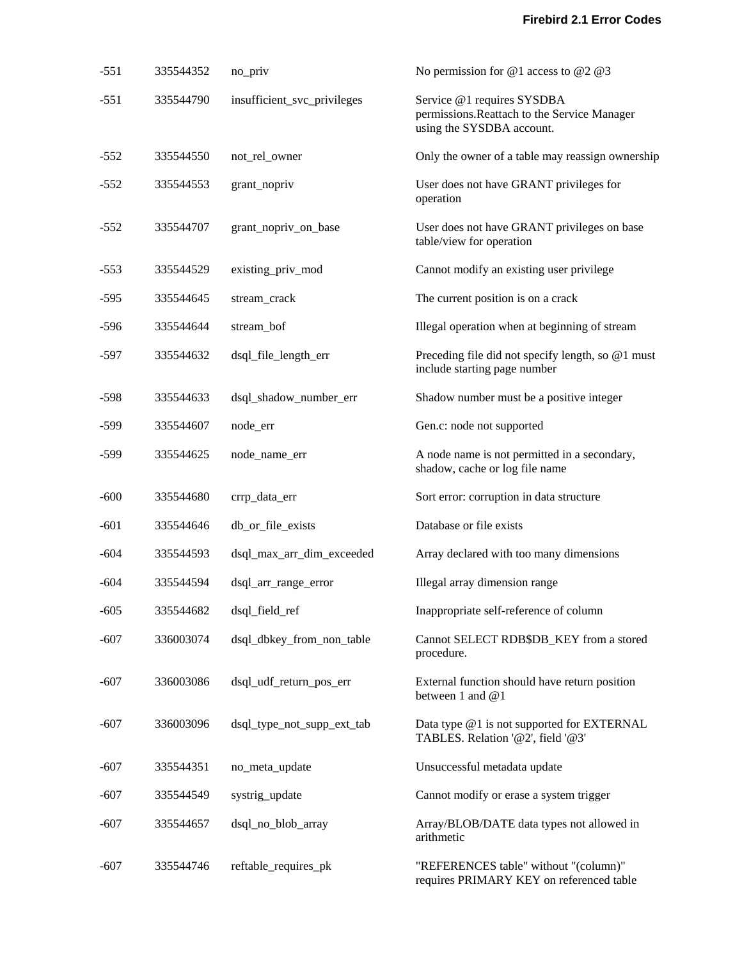| $-551$ | 335544352 | no_priv                     | No permission for $@1$ access to $@2$ $@3$                                                              |
|--------|-----------|-----------------------------|---------------------------------------------------------------------------------------------------------|
| $-551$ | 335544790 | insufficient_svc_privileges | Service @1 requires SYSDBA<br>permissions. Reattach to the Service Manager<br>using the SYSDBA account. |
| $-552$ | 335544550 | not_rel_owner               | Only the owner of a table may reassign ownership                                                        |
| $-552$ | 335544553 | grant_nopriv                | User does not have GRANT privileges for<br>operation                                                    |
| $-552$ | 335544707 | grant_nopriv_on_base        | User does not have GRANT privileges on base<br>table/view for operation                                 |
| $-553$ | 335544529 | existing_priv_mod           | Cannot modify an existing user privilege                                                                |
| -595   | 335544645 | stream_crack                | The current position is on a crack                                                                      |
| $-596$ | 335544644 | stream_bof                  | Illegal operation when at beginning of stream                                                           |
| -597   | 335544632 | dsql_file_length_err        | Preceding file did not specify length, so @1 must<br>include starting page number                       |
| $-598$ | 335544633 | dsql_shadow_number_err      | Shadow number must be a positive integer                                                                |
| $-599$ | 335544607 | node_err                    | Gen.c: node not supported                                                                               |
| $-599$ | 335544625 | node_name_err               | A node name is not permitted in a secondary,<br>shadow, cache or log file name                          |
| $-600$ | 335544680 | crrp_data_err               | Sort error: corruption in data structure                                                                |
| -601   | 335544646 | db_or_file_exists           | Database or file exists                                                                                 |
| -604   | 335544593 | dsql_max_arr_dim_exceeded   | Array declared with too many dimensions                                                                 |
| $-604$ | 335544594 | dsql_arr_range_error        | Illegal array dimension range                                                                           |
| $-605$ | 335544682 | dsql_field_ref              | Inappropriate self-reference of column                                                                  |
| $-607$ | 336003074 | dsql_dbkey_from_non_table   | Cannot SELECT RDB\$DB_KEY from a stored<br>procedure.                                                   |
| $-607$ | 336003086 | dsql_udf_return_pos_err     | External function should have return position<br>between 1 and $@1$                                     |
| $-607$ | 336003096 | dsql_type_not_supp_ext_tab  | Data type @1 is not supported for EXTERNAL<br>TABLES. Relation '@2', field '@3'                         |
| $-607$ | 335544351 | no_meta_update              | Unsuccessful metadata update                                                                            |
| -607   | 335544549 | systrig_update              | Cannot modify or erase a system trigger                                                                 |
| -607   | 335544657 | dsql_no_blob_array          | Array/BLOB/DATE data types not allowed in<br>arithmetic                                                 |
| $-607$ | 335544746 | reftable_requires_pk        | "REFERENCES table" without "(column)"<br>requires PRIMARY KEY on referenced table                       |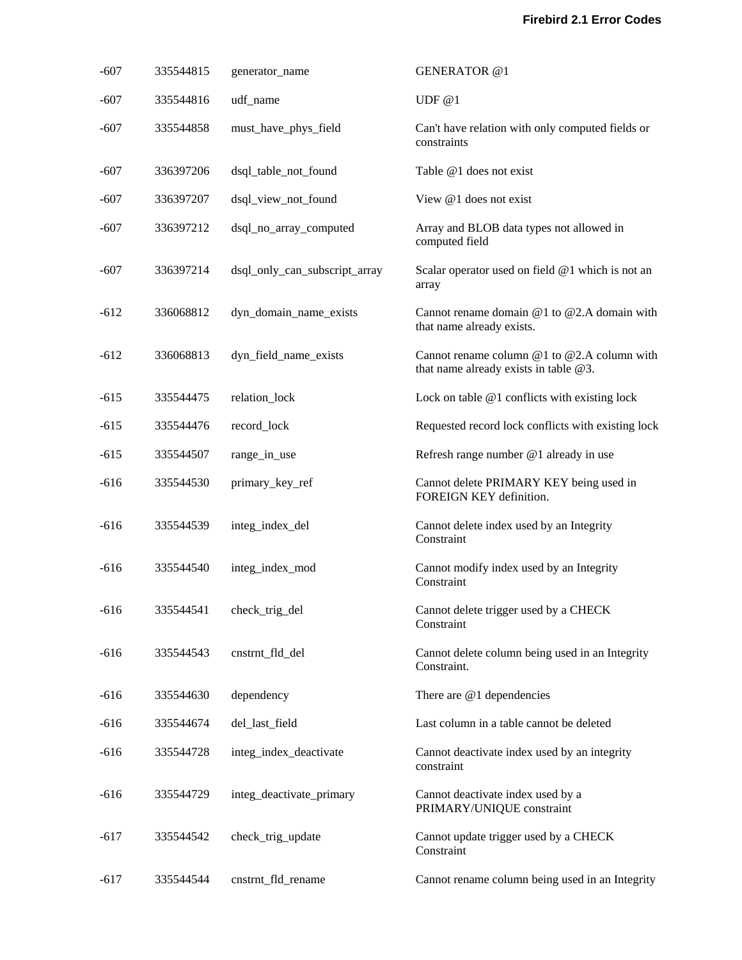| $-607$ | 335544815 | generator_name                | <b>GENERATOR</b> @1                                                                         |
|--------|-----------|-------------------------------|---------------------------------------------------------------------------------------------|
| -607   | 335544816 | udf_name                      | UDF $@1$                                                                                    |
| $-607$ | 335544858 | must_have_phys_field          | Can't have relation with only computed fields or<br>constraints                             |
| $-607$ | 336397206 | dsql_table_not_found          | Table @1 does not exist                                                                     |
| $-607$ | 336397207 | dsql_view_not_found           | View @1 does not exist                                                                      |
| $-607$ | 336397212 | dsql_no_array_computed        | Array and BLOB data types not allowed in<br>computed field                                  |
| $-607$ | 336397214 | dsql_only_can_subscript_array | Scalar operator used on field @1 which is not an<br>array                                   |
| $-612$ | 336068812 | dyn_domain_name_exists        | Cannot rename domain @1 to @2.A domain with<br>that name already exists.                    |
| $-612$ | 336068813 | dyn_field_name_exists         | Cannot rename column $@1$ to $@2.A$ column with<br>that name already exists in table $@3$ . |
| $-615$ | 335544475 | relation_lock                 | Lock on table $@1$ conflicts with existing lock                                             |
| $-615$ | 335544476 | record_lock                   | Requested record lock conflicts with existing lock                                          |
| -615   | 335544507 | range_in_use                  | Refresh range number @1 already in use                                                      |
| $-616$ | 335544530 | primary_key_ref               | Cannot delete PRIMARY KEY being used in<br>FOREIGN KEY definition.                          |
| $-616$ | 335544539 | integ_index_del               | Cannot delete index used by an Integrity<br>Constraint                                      |
| $-616$ | 335544540 | integ_index_mod               | Cannot modify index used by an Integrity<br>Constraint                                      |
| $-616$ | 335544541 | check_trig_del                | Cannot delete trigger used by a CHECK<br>Constraint                                         |
| $-616$ | 335544543 | cnstrnt_fld_del               | Cannot delete column being used in an Integrity<br>Constraint.                              |
| $-616$ | 335544630 | dependency                    | There are $@1$ dependencies                                                                 |
| -616   | 335544674 | del_last_field                | Last column in a table cannot be deleted                                                    |
| -616   | 335544728 | integ_index_deactivate        | Cannot deactivate index used by an integrity<br>constraint                                  |
| $-616$ | 335544729 | integ_deactivate_primary      | Cannot deactivate index used by a<br>PRIMARY/UNIQUE constraint                              |
| -617   | 335544542 | check_trig_update             | Cannot update trigger used by a CHECK<br>Constraint                                         |
| $-617$ | 335544544 | cnstrnt_fld_rename            | Cannot rename column being used in an Integrity                                             |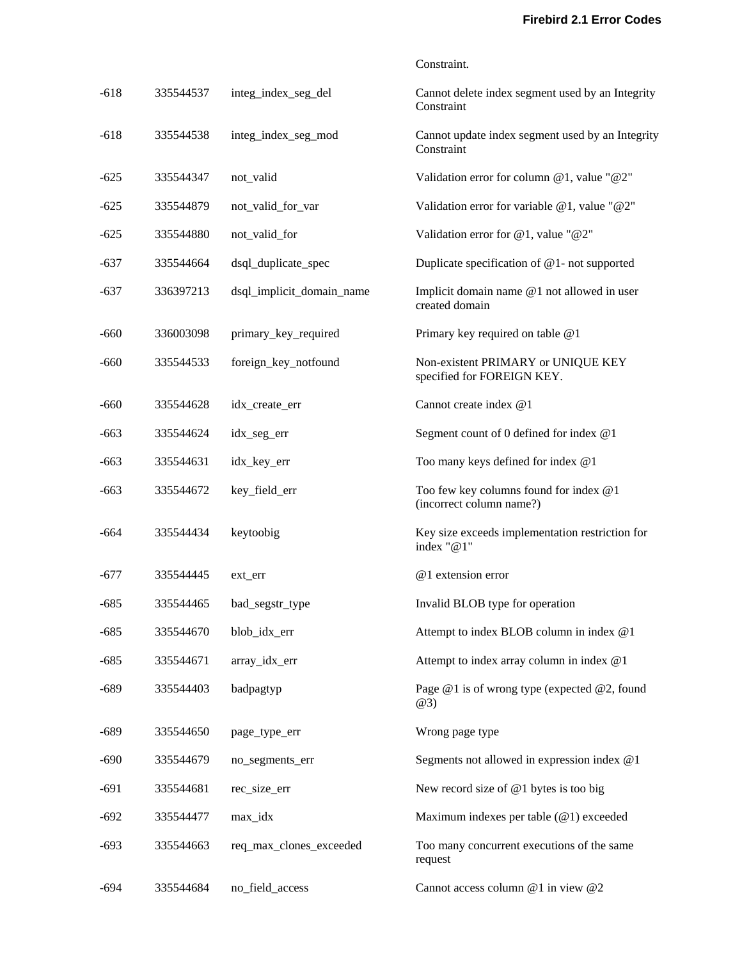| $-618$ | 335544537 | integ_index_seg_del       | Cannot delete index segment used by an Integrity<br>Constraint     |
|--------|-----------|---------------------------|--------------------------------------------------------------------|
| $-618$ | 335544538 | integ_index_seg_mod       | Cannot update index segment used by an Integrity<br>Constraint     |
| $-625$ | 335544347 | not_valid                 | Validation error for column @1, value "@2"                         |
| $-625$ | 335544879 | not_valid_for_var         | Validation error for variable @1, value "@2"                       |
| $-625$ | 335544880 | not_valid_for             | Validation error for $@1$ , value " $@2"$                          |
| $-637$ | 335544664 | dsql_duplicate_spec       | Duplicate specification of $@1$ - not supported                    |
| $-637$ | 336397213 | dsql_implicit_domain_name | Implicit domain name @1 not allowed in user<br>created domain      |
| $-660$ | 336003098 | primary_key_required      | Primary key required on table @1                                   |
| $-660$ | 335544533 | foreign_key_notfound      | Non-existent PRIMARY or UNIQUE KEY<br>specified for FOREIGN KEY.   |
| -660   | 335544628 | idx_create_err            | Cannot create index @1                                             |
| $-663$ | 335544624 | idx_seg_err               | Segment count of 0 defined for index @1                            |
| $-663$ | 335544631 | idx_key_err               | Too many keys defined for index @1                                 |
| $-663$ | 335544672 | key_field_err             | Too few key columns found for index @1<br>(incorrect column name?) |
| -664   | 335544434 | keytoobig                 | Key size exceeds implementation restriction for<br>index $"@1"$    |
| $-677$ | 335544445 | ext_err                   | @1 extension error                                                 |
| $-685$ | 335544465 | bad_segstr_type           | Invalid BLOB type for operation                                    |
| $-685$ | 335544670 | blob idx err              | Attempt to index BLOB column in index @1                           |
| $-685$ | 335544671 | array_idx_err             | Attempt to index array column in index @1                          |
| $-689$ | 335544403 | badpagtyp                 | Page $@1$ is of wrong type (expected $@2$ , found<br>@3)           |
| $-689$ | 335544650 | page_type_err             | Wrong page type                                                    |
| $-690$ | 335544679 | no_segments_err           | Segments not allowed in expression index $@1$                      |
| $-691$ | 335544681 | rec_size_err              | New record size of @1 bytes is too big                             |
| $-692$ | 335544477 | max_idx                   | Maximum indexes per table $(\textcircled{a} 1)$ exceeded           |
| $-693$ | 335544663 | req_max_clones_exceeded   | Too many concurrent executions of the same<br>request              |
| $-694$ | 335544684 | no_field_access           | Cannot access column @1 in view @2                                 |

Constraint.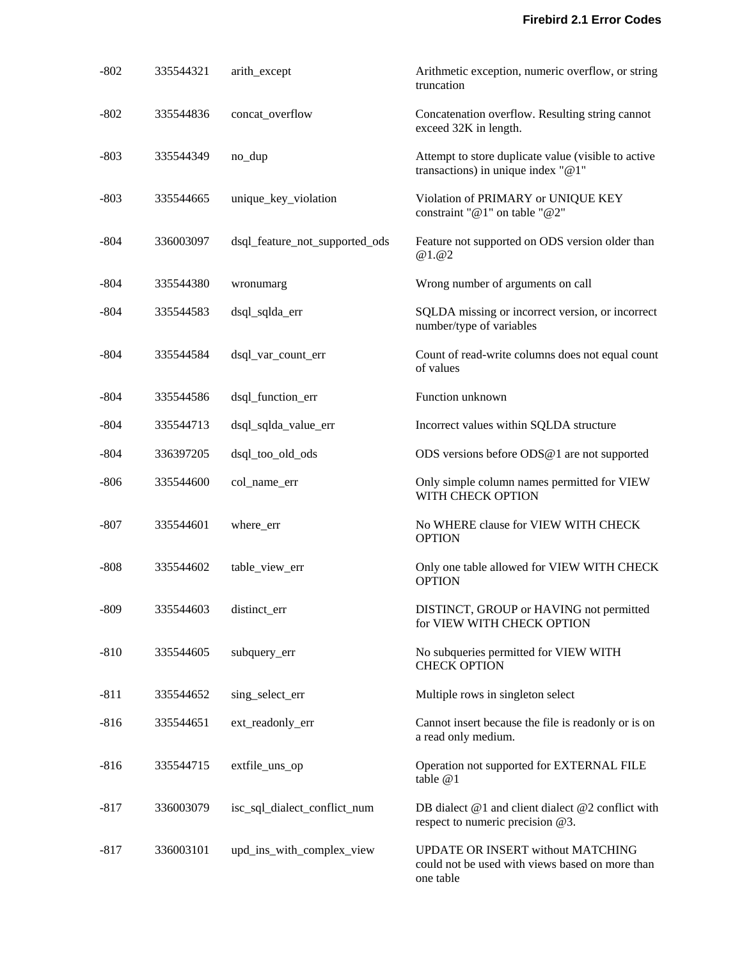| $-802$ | 335544321 | arith_except                   | Arithmetic exception, numeric overflow, or string<br>truncation                                          |
|--------|-----------|--------------------------------|----------------------------------------------------------------------------------------------------------|
| $-802$ | 335544836 | concat_overflow                | Concatenation overflow. Resulting string cannot<br>exceed 32K in length.                                 |
| $-803$ | 335544349 | no_dup                         | Attempt to store duplicate value (visible to active<br>transactions) in unique index " $@1"$             |
| $-803$ | 335544665 | unique_key_violation           | Violation of PRIMARY or UNIQUE KEY<br>constraint "@1" on table "@2"                                      |
| $-804$ | 336003097 | dsql_feature_not_supported_ods | Feature not supported on ODS version older than<br>@1.@2                                                 |
| $-804$ | 335544380 | wronumarg                      | Wrong number of arguments on call                                                                        |
| $-804$ | 335544583 | dsql_sqlda_err                 | SQLDA missing or incorrect version, or incorrect<br>number/type of variables                             |
| $-804$ | 335544584 | dsql_var_count_err             | Count of read-write columns does not equal count<br>of values                                            |
| $-804$ | 335544586 | dsql_function_err              | Function unknown                                                                                         |
| $-804$ | 335544713 | dsql_sqlda_value_err           | Incorrect values within SQLDA structure                                                                  |
| $-804$ | 336397205 | dsql_too_old_ods               | ODS versions before ODS@1 are not supported                                                              |
| $-806$ | 335544600 | col_name_err                   | Only simple column names permitted for VIEW<br>WITH CHECK OPTION                                         |
| $-807$ | 335544601 | where_err                      | No WHERE clause for VIEW WITH CHECK<br><b>OPTION</b>                                                     |
| $-808$ | 335544602 | table_view_err                 | Only one table allowed for VIEW WITH CHECK<br><b>OPTION</b>                                              |
| $-809$ | 335544603 | distinct_err                   | DISTINCT, GROUP or HAVING not permitted<br>for VIEW WITH CHECK OPTION                                    |
| $-810$ | 335544605 | subquery_err                   | No subqueries permitted for VIEW WITH<br><b>CHECK OPTION</b>                                             |
| $-811$ | 335544652 | sing_select_err                | Multiple rows in singleton select                                                                        |
| $-816$ | 335544651 | ext_readonly_err               | Cannot insert because the file is readonly or is on<br>a read only medium.                               |
| $-816$ | 335544715 | extfile_uns_op                 | Operation not supported for EXTERNAL FILE<br>table $@1$                                                  |
| $-817$ | 336003079 | isc_sql_dialect_conflict_num   | DB dialect @1 and client dialect @2 conflict with<br>respect to numeric precision $@3$ .                 |
| $-817$ | 336003101 | upd_ins_with_complex_view      | <b>UPDATE OR INSERT without MATCHING</b><br>could not be used with views based on more than<br>one table |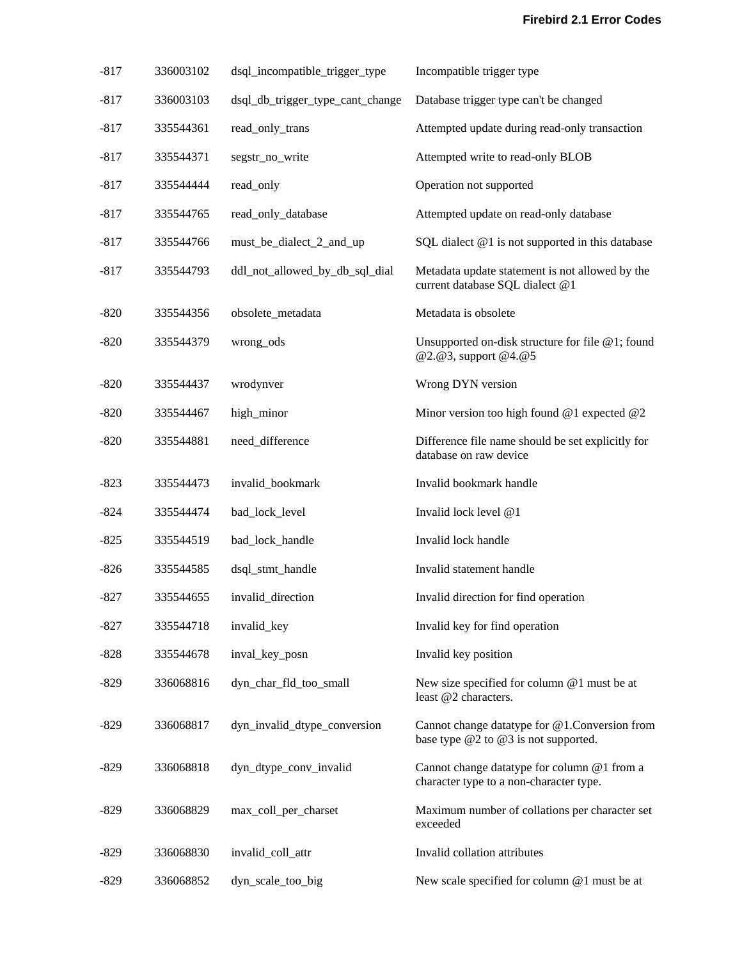| $-817$ | 336003102 | dsql_incompatible_trigger_type   | Incompatible trigger type                                                                 |
|--------|-----------|----------------------------------|-------------------------------------------------------------------------------------------|
| $-817$ | 336003103 | dsql_db_trigger_type_cant_change | Database trigger type can't be changed                                                    |
| $-817$ | 335544361 | read_only_trans                  | Attempted update during read-only transaction                                             |
| $-817$ | 335544371 | segstr_no_write                  | Attempted write to read-only BLOB                                                         |
| $-817$ | 335544444 | read_only                        | Operation not supported                                                                   |
| $-817$ | 335544765 | read_only_database               | Attempted update on read-only database                                                    |
| $-817$ | 335544766 | must_be_dialect_2_and_up         | SQL dialect $@1$ is not supported in this database                                        |
| $-817$ | 335544793 | ddl_not_allowed_by_db_sql_dial   | Metadata update statement is not allowed by the<br>current database SQL dialect @1        |
| $-820$ | 335544356 | obsolete_metadata                | Metadata is obsolete                                                                      |
| $-820$ | 335544379 | wrong_ods                        | Unsupported on-disk structure for file $@1$ ; found<br>@2.@3, support @4.@5               |
| $-820$ | 335544437 | wrodynver                        | Wrong DYN version                                                                         |
| $-820$ | 335544467 | high_minor                       | Minor version too high found $@1$ expected $@2$                                           |
| $-820$ | 335544881 | need_difference                  | Difference file name should be set explicitly for<br>database on raw device               |
| $-823$ | 335544473 | invalid_bookmark                 | Invalid bookmark handle                                                                   |
| $-824$ | 335544474 | bad_lock_level                   | Invalid lock level @1                                                                     |
| $-825$ | 335544519 | bad_lock_handle                  | Invalid lock handle                                                                       |
| $-826$ | 335544585 | dsql_stmt_handle                 | Invalid statement handle                                                                  |
| $-827$ | 335544655 | invalid_direction                | Invalid direction for find operation                                                      |
| $-827$ | 335544718 | invalid_key                      | Invalid key for find operation                                                            |
| $-828$ | 335544678 | inval_key_posn                   | Invalid key position                                                                      |
| $-829$ | 336068816 | dyn_char_fld_too_small           | New size specified for column @1 must be at<br>least @2 characters.                       |
| $-829$ | 336068817 | dyn_invalid_dtype_conversion     | Cannot change datatype for @1.Conversion from<br>base type $@2$ to $@3$ is not supported. |
| $-829$ | 336068818 | dyn_dtype_conv_invalid           | Cannot change datatype for column @1 from a<br>character type to a non-character type.    |
| $-829$ | 336068829 | max_coll_per_charset             | Maximum number of collations per character set<br>exceeded                                |
| $-829$ | 336068830 | invalid_coll_attr                | Invalid collation attributes                                                              |
| $-829$ | 336068852 | dyn_scale_too_big                | New scale specified for column @1 must be at                                              |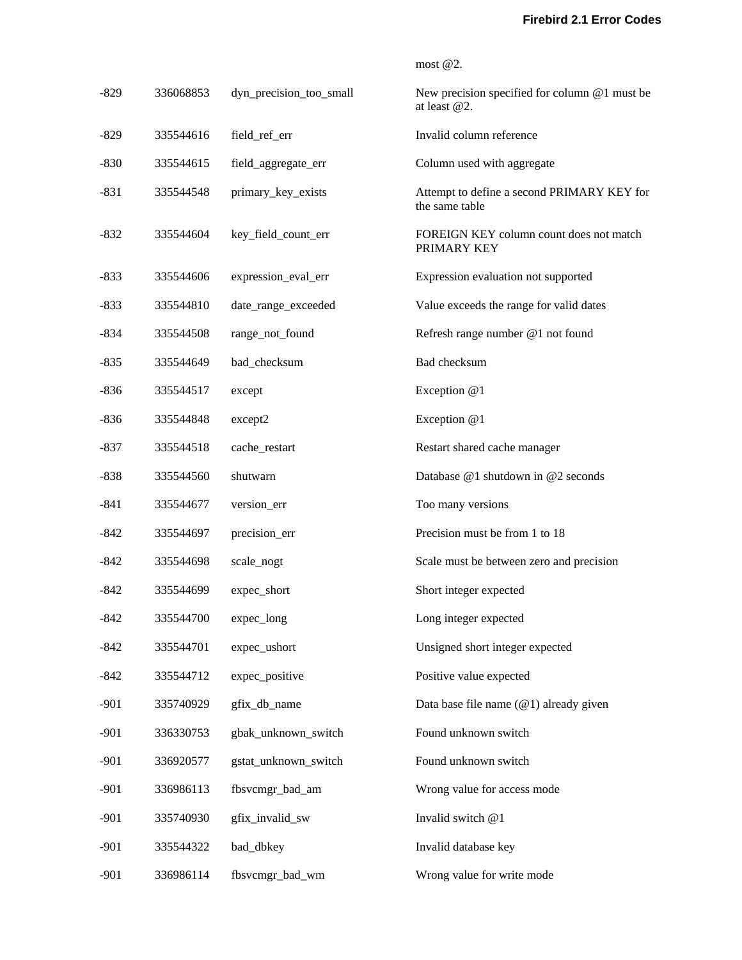| $-829$ | 336068853 | dyn_precision_too_small | New precision specified for column $@1$ must be<br>at least @2. |
|--------|-----------|-------------------------|-----------------------------------------------------------------|
| $-829$ | 335544616 | field_ref_err           | Invalid column reference                                        |
| $-830$ | 335544615 | field_aggregate_err     | Column used with aggregate                                      |
| $-831$ | 335544548 | primary_key_exists      | Attempt to define a second PRIMARY KEY for<br>the same table    |
| $-832$ | 335544604 | key_field_count_err     | FOREIGN KEY column count does not match<br>PRIMARY KEY          |
| $-833$ | 335544606 | expression_eval_err     | Expression evaluation not supported                             |
| $-833$ | 335544810 | date_range_exceeded     | Value exceeds the range for valid dates                         |
| $-834$ | 335544508 | range_not_found         | Refresh range number @1 not found                               |
| $-835$ | 335544649 | bad_checksum            | Bad checksum                                                    |
| $-836$ | 335544517 | except                  | Exception @1                                                    |
| $-836$ | 335544848 | except2                 | Exception @1                                                    |
| $-837$ | 335544518 | cache_restart           | Restart shared cache manager                                    |
| $-838$ | 335544560 | shutwarn                | Database @1 shutdown in @2 seconds                              |
| -841   | 335544677 | version_err             | Too many versions                                               |
| $-842$ | 335544697 | precision_err           | Precision must be from 1 to 18                                  |
| -842   | 335544698 | scale_nogt              | Scale must be between zero and precision                        |
| $-842$ | 335544699 | expec_short             | Short integer expected                                          |
| $-842$ | 335544700 | expec_long              | Long integer expected                                           |
| $-842$ | 335544701 | expec_ushort            | Unsigned short integer expected                                 |
| $-842$ | 335544712 | expec_positive          | Positive value expected                                         |
| $-901$ | 335740929 | gfix_db_name            | Data base file name $(\mathcal{Q}_1)$ already given             |
| $-901$ | 336330753 | gbak_unknown_switch     | Found unknown switch                                            |
| $-901$ | 336920577 | gstat_unknown_switch    | Found unknown switch                                            |
| $-901$ | 336986113 | fbsvcmgr_bad_am         | Wrong value for access mode                                     |
| $-901$ | 335740930 | gfix_invalid_sw         | Invalid switch @1                                               |
| $-901$ | 335544322 | bad_dbkey               | Invalid database key                                            |
| $-901$ | 336986114 | fbsvcmgr_bad_wm         | Wrong value for write mode                                      |

most @2.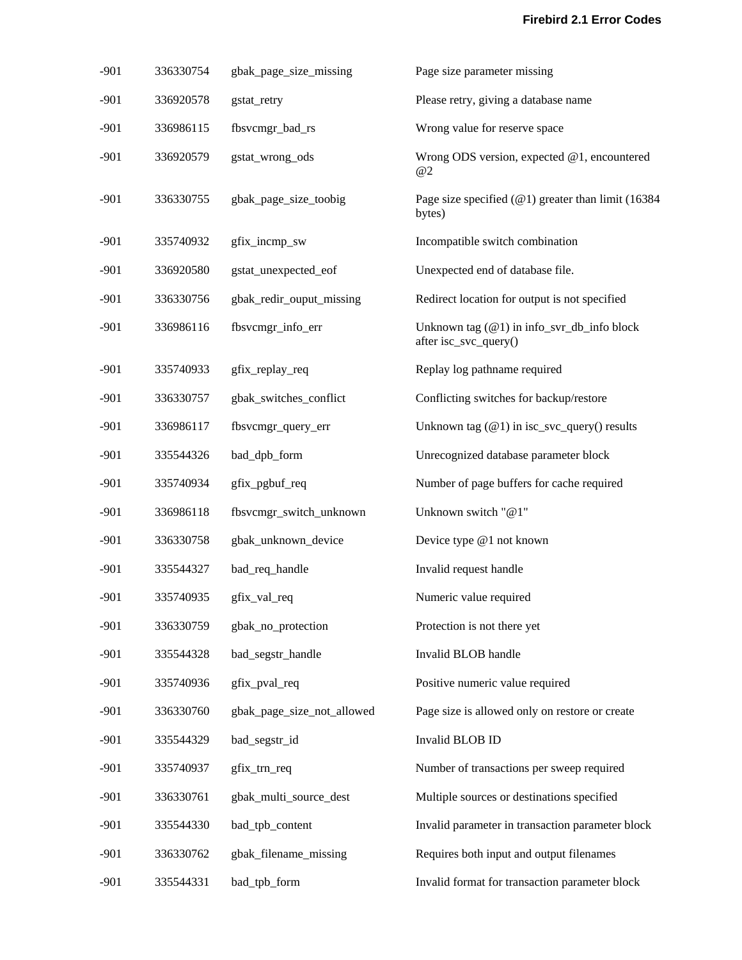| $-901$ | 336330754 | gbak_page_size_missing     | Page size parameter missing                                                  |
|--------|-----------|----------------------------|------------------------------------------------------------------------------|
| $-901$ | 336920578 | gstat_retry                | Please retry, giving a database name                                         |
| $-901$ | 336986115 | fbsvcmgr_bad_rs            | Wrong value for reserve space                                                |
| $-901$ | 336920579 | gstat_wrong_ods            | Wrong ODS version, expected $@1$ , encountered<br>@2                         |
| $-901$ | 336330755 | gbak_page_size_toobig      | Page size specified $(\textcirclede 1)$ greater than limit (16384)<br>bytes) |
| $-901$ | 335740932 | gfix_incmp_sw              | Incompatible switch combination                                              |
| $-901$ | 336920580 | gstat_unexpected_eof       | Unexpected end of database file.                                             |
| $-901$ | 336330756 | gbak_redir_ouput_missing   | Redirect location for output is not specified                                |
| $-901$ | 336986116 | fbsvcmgr_info_err          | Unknown tag $(@1)$ in info_svr_db_info block<br>after isc_svc_query()        |
| $-901$ | 335740933 | gfix_replay_req            | Replay log pathname required                                                 |
| $-901$ | 336330757 | gbak_switches_conflict     | Conflicting switches for backup/restore                                      |
| $-901$ | 336986117 | fbsvcmgr_query_err         | Unknown tag $(\textcircled{a}1)$ in isc_svc_query() results                  |
| $-901$ | 335544326 | bad_dpb_form               | Unrecognized database parameter block                                        |
| $-901$ | 335740934 | gfix_pgbuf_req             | Number of page buffers for cache required                                    |
| $-901$ | 336986118 | fbsvcmgr_switch_unknown    | Unknown switch "@1"                                                          |
| $-901$ | 336330758 | gbak_unknown_device        | Device type @1 not known                                                     |
| $-901$ | 335544327 | bad_req_handle             | Invalid request handle                                                       |
| $-901$ | 335740935 | gfix_val_req               | Numeric value required                                                       |
| $-901$ | 336330759 | gbak_no_protection         | Protection is not there yet                                                  |
| $-901$ | 335544328 | bad_segstr_handle          | Invalid BLOB handle                                                          |
| $-901$ | 335740936 | gfix_pval_req              | Positive numeric value required                                              |
| $-901$ | 336330760 | gbak_page_size_not_allowed | Page size is allowed only on restore or create                               |
| $-901$ | 335544329 | bad_segstr_id              | Invalid BLOB ID                                                              |
| $-901$ | 335740937 | gfix_trn_req               | Number of transactions per sweep required                                    |
| $-901$ | 336330761 | gbak_multi_source_dest     | Multiple sources or destinations specified                                   |
| $-901$ | 335544330 | bad_tpb_content            | Invalid parameter in transaction parameter block                             |
| $-901$ | 336330762 | gbak_filename_missing      | Requires both input and output filenames                                     |
| $-901$ | 335544331 | bad_tpb_form               | Invalid format for transaction parameter block                               |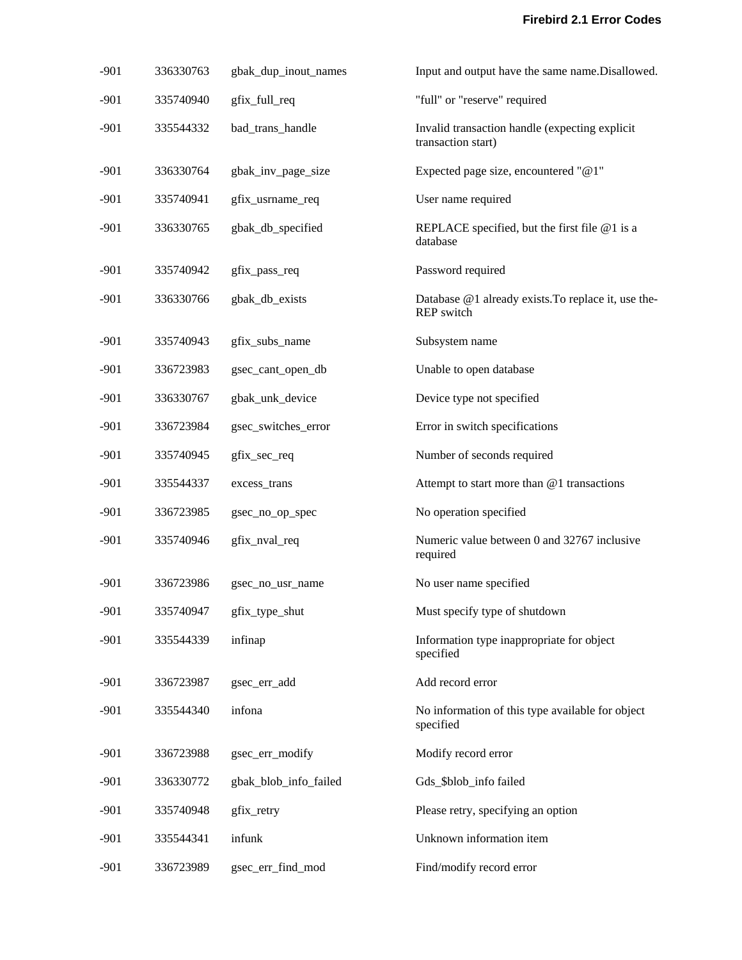| $-901$ | 336330763 | gbak_dup_inout_names  | Input and output have the same name.Disallowed.                      |
|--------|-----------|-----------------------|----------------------------------------------------------------------|
| $-901$ | 335740940 | gfix_full_req         | "full" or "reserve" required                                         |
| $-901$ | 335544332 | bad_trans_handle      | Invalid transaction handle (expecting explicit<br>transaction start) |
| $-901$ | 336330764 | gbak_inv_page_size    | Expected page size, encountered "@1"                                 |
| $-901$ | 335740941 | gfix_usrname_req      | User name required                                                   |
| $-901$ | 336330765 | gbak_db_specified     | REPLACE specified, but the first file $@1$ is a<br>database          |
| $-901$ | 335740942 | gfix_pass_req         | Password required                                                    |
| $-901$ | 336330766 | gbak_db_exists        | Database @1 already exists. To replace it, use the-<br>REP switch    |
| $-901$ | 335740943 | gfix_subs_name        | Subsystem name                                                       |
| $-901$ | 336723983 | gsec_cant_open_db     | Unable to open database                                              |
| $-901$ | 336330767 | gbak_unk_device       | Device type not specified                                            |
| $-901$ | 336723984 | gsec_switches_error   | Error in switch specifications                                       |
| $-901$ | 335740945 | gfix_sec_req          | Number of seconds required                                           |
| $-901$ | 335544337 | excess_trans          | Attempt to start more than @1 transactions                           |
| $-901$ | 336723985 | gsec_no_op_spec       | No operation specified                                               |
| $-901$ | 335740946 | gfix_nval_req         | Numeric value between 0 and 32767 inclusive<br>required              |
| $-901$ | 336723986 | gsec_no_usr_name      | No user name specified                                               |
| $-901$ | 335740947 | gfix_type_shut        | Must specify type of shutdown                                        |
| $-901$ | 335544339 | infinap               | Information type inappropriate for object<br>specified               |
| $-901$ | 336723987 | gsec_err_add          | Add record error                                                     |
| $-901$ | 335544340 | infona                | No information of this type available for object<br>specified        |
| $-901$ | 336723988 | gsec_err_modify       | Modify record error                                                  |
| $-901$ | 336330772 | gbak_blob_info_failed | Gds_\$blob_info failed                                               |
| $-901$ | 335740948 | gfix_retry            | Please retry, specifying an option                                   |
| $-901$ | 335544341 | infunk                | Unknown information item                                             |
| $-901$ | 336723989 | gsec_err_find_mod     | Find/modify record error                                             |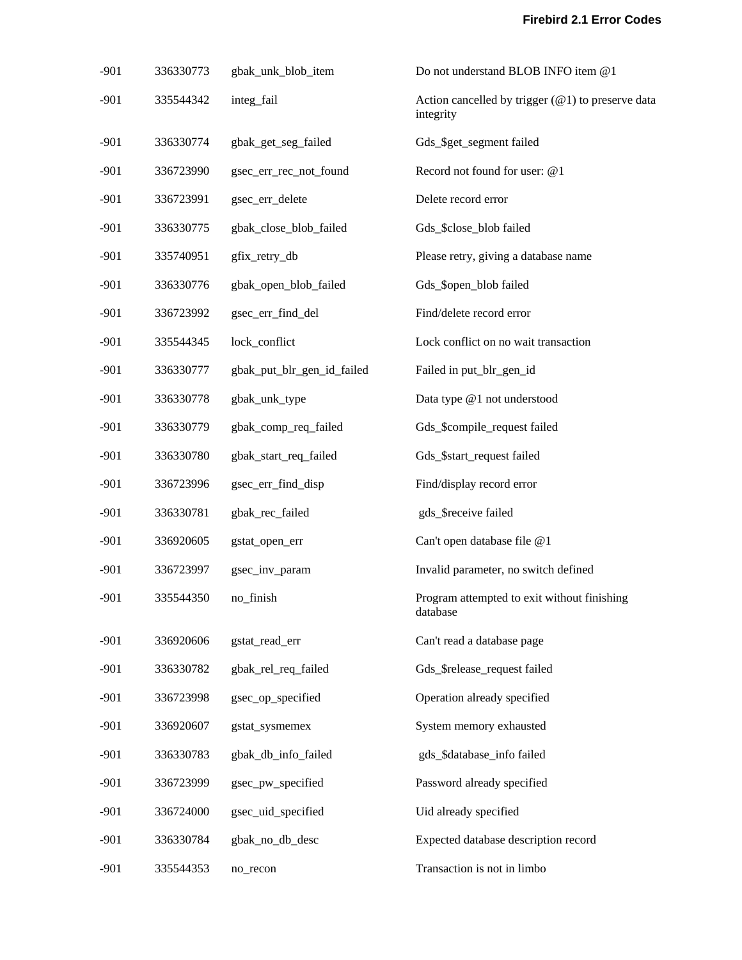| $-901$ | 336330773 | gbak_unk_blob_item         | Do not understand BLOB INFO item @1                                         |
|--------|-----------|----------------------------|-----------------------------------------------------------------------------|
| $-901$ | 335544342 | integ_fail                 | Action cancelled by trigger $(\mathcal{Q}_1)$ to preserve data<br>integrity |
| $-901$ | 336330774 | gbak_get_seg_failed        | Gds_\$get_segment failed                                                    |
| $-901$ | 336723990 | gsec_err_rec_not_found     | Record not found for user: @1                                               |
| $-901$ | 336723991 | gsec_err_delete            | Delete record error                                                         |
| $-901$ | 336330775 | gbak_close_blob_failed     | Gds_\$close_blob failed                                                     |
| $-901$ | 335740951 | gfix_retry_db              | Please retry, giving a database name                                        |
| $-901$ | 336330776 | gbak_open_blob_failed      | Gds_\$open_blob failed                                                      |
| $-901$ | 336723992 | gsec_err_find_del          | Find/delete record error                                                    |
| $-901$ | 335544345 | lock_conflict              | Lock conflict on no wait transaction                                        |
| $-901$ | 336330777 | gbak_put_blr_gen_id_failed | Failed in put_blr_gen_id                                                    |
| $-901$ | 336330778 | gbak_unk_type              | Data type @1 not understood                                                 |
| $-901$ | 336330779 | gbak_comp_req_failed       | Gds_\$compile_request failed                                                |
| $-901$ | 336330780 | gbak_start_req_failed      | Gds_\$start_request failed                                                  |
| $-901$ | 336723996 | gsec_err_find_disp         | Find/display record error                                                   |
| $-901$ | 336330781 | gbak_rec_failed            | gds_\$receive failed                                                        |
| $-901$ | 336920605 | gstat_open_err             | Can't open database file @1                                                 |
| $-901$ | 336723997 | gsec_inv_param             | Invalid parameter, no switch defined                                        |
| $-901$ | 335544350 | no_finish                  | Program attempted to exit without finishing<br>database                     |
| $-901$ | 336920606 | gstat_read_err             | Can't read a database page                                                  |
| $-901$ | 336330782 | gbak_rel_req_failed        | Gds_\$release_request failed                                                |
| $-901$ | 336723998 | gsec_op_specified          | Operation already specified                                                 |
| $-901$ | 336920607 | gstat_sysmemex             | System memory exhausted                                                     |
| $-901$ | 336330783 | gbak_db_info_failed        | gds_\$database_info failed                                                  |
| $-901$ | 336723999 | gsec_pw_specified          | Password already specified                                                  |
| $-901$ | 336724000 | gsec_uid_specified         | Uid already specified                                                       |
| $-901$ | 336330784 | gbak_no_db_desc            | Expected database description record                                        |
| $-901$ | 335544353 | no_recon                   | Transaction is not in limbo                                                 |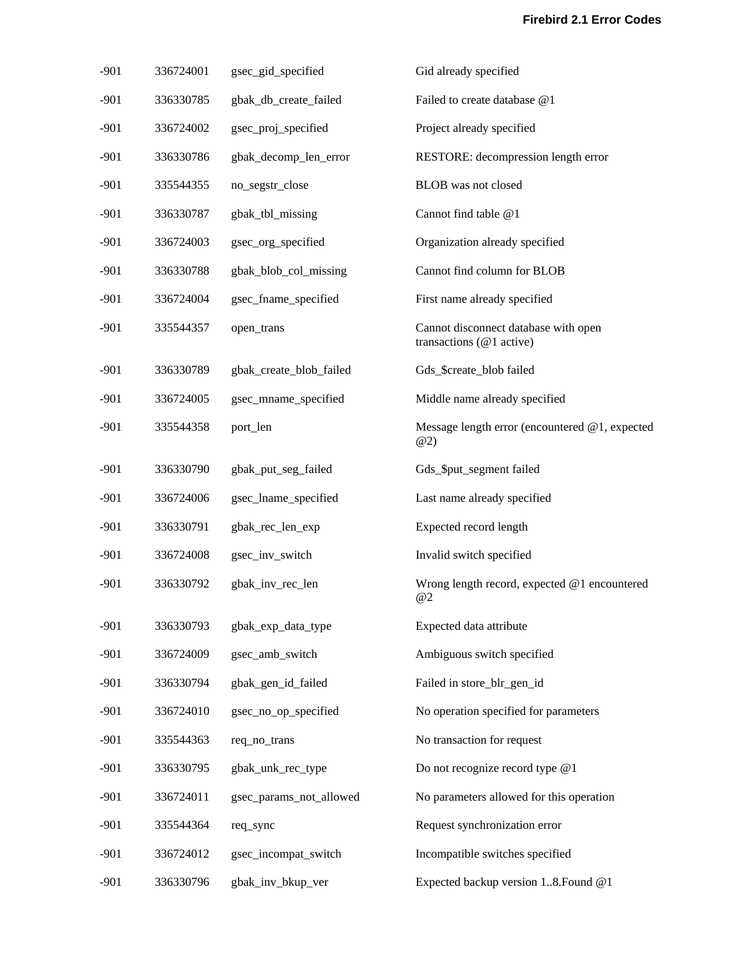| $-901$ | 336724001 | gsec_gid_specified      | Gid already specified                                                      |
|--------|-----------|-------------------------|----------------------------------------------------------------------------|
| $-901$ | 336330785 | gbak_db_create_failed   | Failed to create database @1                                               |
| $-901$ | 336724002 | gsec_proj_specified     | Project already specified                                                  |
| $-901$ | 336330786 | gbak_decomp_len_error   | RESTORE: decompression length error                                        |
| $-901$ | 335544355 | no_segstr_close         | BLOB was not closed                                                        |
| $-901$ | 336330787 | gbak_tbl_missing        | Cannot find table @1                                                       |
| $-901$ | 336724003 | gsec_org_specified      | Organization already specified                                             |
| $-901$ | 336330788 | gbak_blob_col_missing   | Cannot find column for BLOB                                                |
| $-901$ | 336724004 | gsec_fname_specified    | First name already specified                                               |
| $-901$ | 335544357 | open_trans              | Cannot disconnect database with open<br>transactions $(@1 \text{ active})$ |
| $-901$ | 336330789 | gbak_create_blob_failed | Gds_\$create_blob failed                                                   |
| $-901$ | 336724005 | gsec_mname_specified    | Middle name already specified                                              |
| $-901$ | 335544358 | port_len                | Message length error (encountered @1, expected<br>@2)                      |
| $-901$ | 336330790 | gbak_put_seg_failed     | Gds_\$put_segment failed                                                   |
| $-901$ | 336724006 | gsec_lname_specified    | Last name already specified                                                |
| $-901$ | 336330791 | gbak_rec_len_exp        | Expected record length                                                     |
| $-901$ | 336724008 | gsec_inv_switch         | Invalid switch specified                                                   |
| $-901$ | 336330792 | gbak_inv_rec_len        | Wrong length record, expected @1 encountered<br>@2                         |
| $-901$ | 336330793 | gbak_exp_data_type      | Expected data attribute                                                    |
| $-901$ | 336724009 | gsec_amb_switch         | Ambiguous switch specified                                                 |
| $-901$ | 336330794 | gbak_gen_id_failed      | Failed in store_blr_gen_id                                                 |
| $-901$ | 336724010 | gsec_no_op_specified    | No operation specified for parameters                                      |
| $-901$ | 335544363 | req_no_trans            | No transaction for request                                                 |
| $-901$ | 336330795 | gbak_unk_rec_type       | Do not recognize record type @1                                            |
| $-901$ | 336724011 | gsec_params_not_allowed | No parameters allowed for this operation                                   |
| $-901$ | 335544364 | req_sync                | Request synchronization error                                              |
| $-901$ | 336724012 | gsec_incompat_switch    | Incompatible switches specified                                            |
| $-901$ | 336330796 | gbak_inv_bkup_ver       | Expected backup version 18. Found @1                                       |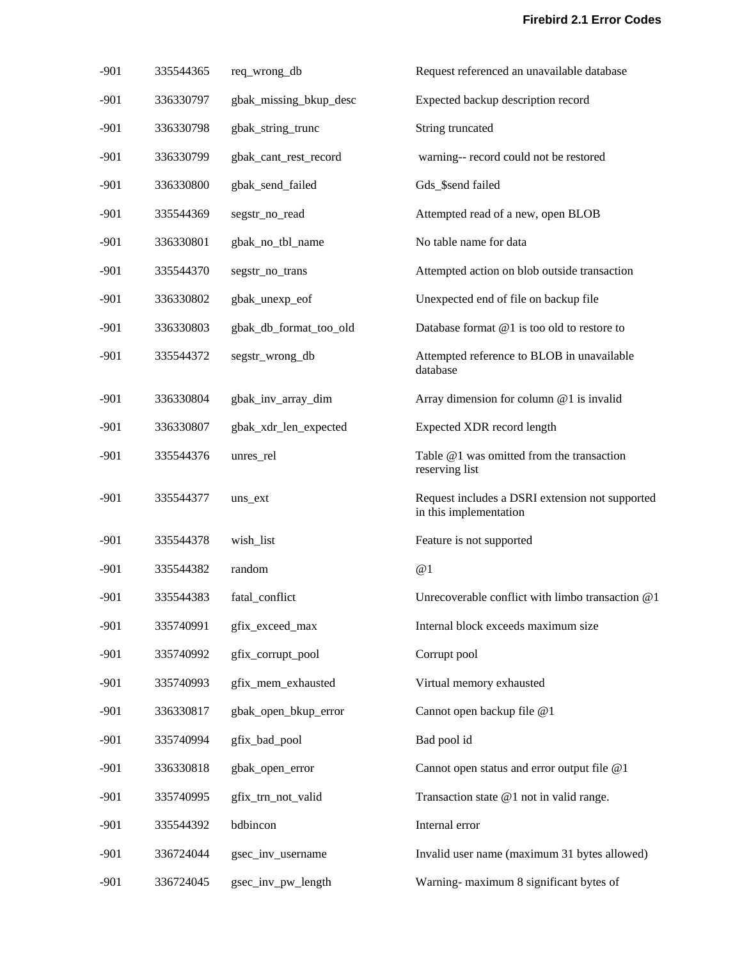| $-901$ | 335544365 | req_wrong_db           | Request referenced an unavailable database                                |
|--------|-----------|------------------------|---------------------------------------------------------------------------|
| $-901$ | 336330797 | gbak_missing_bkup_desc | Expected backup description record                                        |
| $-901$ | 336330798 | gbak_string_trunc      | String truncated                                                          |
| $-901$ | 336330799 | gbak_cant_rest_record  | warning-- record could not be restored                                    |
| $-901$ | 336330800 | gbak_send_failed       | Gds_\$send failed                                                         |
| $-901$ | 335544369 | segstr_no_read         | Attempted read of a new, open BLOB                                        |
| $-901$ | 336330801 | gbak_no_tbl_name       | No table name for data                                                    |
| $-901$ | 335544370 | segstr_no_trans        | Attempted action on blob outside transaction                              |
| $-901$ | 336330802 | gbak_unexp_eof         | Unexpected end of file on backup file                                     |
| $-901$ | 336330803 | gbak_db_format_too_old | Database format @1 is too old to restore to                               |
| $-901$ | 335544372 | segstr_wrong_db        | Attempted reference to BLOB in unavailable<br>database                    |
| $-901$ | 336330804 | gbak_inv_array_dim     | Array dimension for column @1 is invalid                                  |
| $-901$ | 336330807 | gbak_xdr_len_expected  | Expected XDR record length                                                |
| $-901$ | 335544376 | unres_rel              | Table @1 was omitted from the transaction<br>reserving list               |
| $-901$ | 335544377 | uns_ext                | Request includes a DSRI extension not supported<br>in this implementation |
| $-901$ | 335544378 | wish_list              | Feature is not supported                                                  |
| $-901$ | 335544382 | random                 | @1                                                                        |
| $-901$ | 335544383 | fatal_conflict         | Unrecoverable conflict with limbo transaction @1                          |
| $-901$ | 335740991 | gfix_exceed_max        | Internal block exceeds maximum size                                       |
| $-901$ | 335740992 | gfix_corrupt_pool      | Corrupt pool                                                              |
| $-901$ | 335740993 | gfix_mem_exhausted     | Virtual memory exhausted                                                  |
| $-901$ | 336330817 | gbak_open_bkup_error   | Cannot open backup file @1                                                |
| $-901$ | 335740994 | gfix_bad_pool          | Bad pool id                                                               |
| $-901$ | 336330818 | gbak_open_error        | Cannot open status and error output file @1                               |
| $-901$ | 335740995 | gfix_trn_not_valid     | Transaction state @1 not in valid range.                                  |
| $-901$ | 335544392 | bdbincon               | Internal error                                                            |
| $-901$ | 336724044 | gsec_inv_username      | Invalid user name (maximum 31 bytes allowed)                              |
| $-901$ | 336724045 | gsec_inv_pw_length     | Warning-maximum 8 significant bytes of                                    |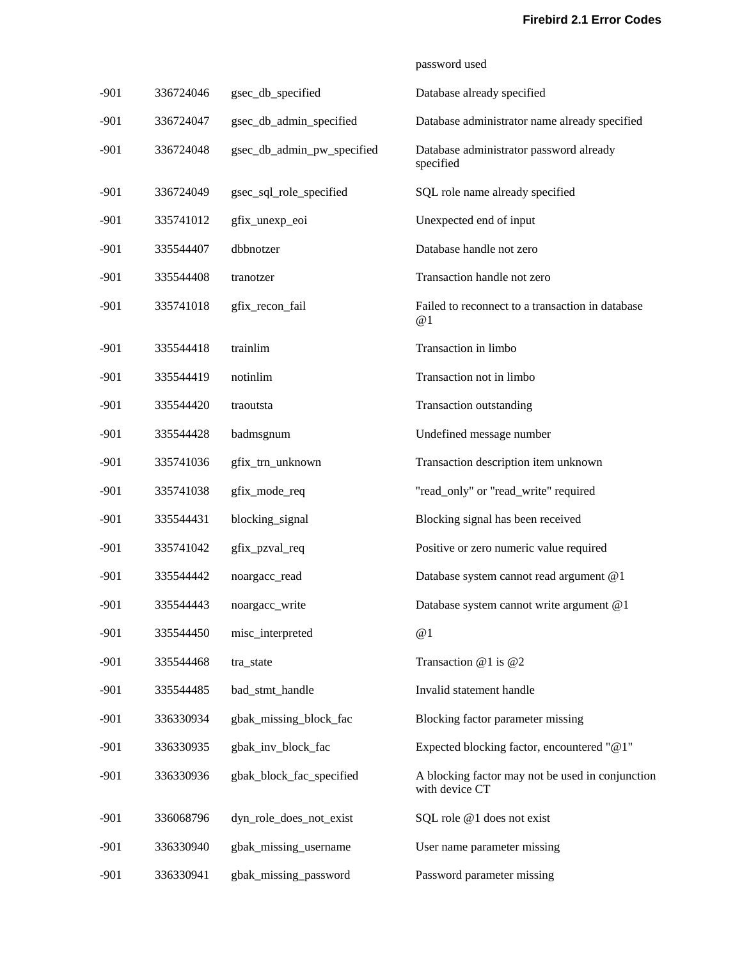|        |           |                            | password used                                                      |
|--------|-----------|----------------------------|--------------------------------------------------------------------|
| $-901$ | 336724046 | gsec_db_specified          | Database already specified                                         |
| $-901$ | 336724047 | gsec_db_admin_specified    | Database administrator name already specified                      |
| $-901$ | 336724048 | gsec_db_admin_pw_specified | Database administrator password already<br>specified               |
| $-901$ | 336724049 | gsec_sql_role_specified    | SQL role name already specified                                    |
| $-901$ | 335741012 | gfix_unexp_eoi             | Unexpected end of input                                            |
| $-901$ | 335544407 | dbbnotzer                  | Database handle not zero                                           |
| $-901$ | 335544408 | tranotzer                  | Transaction handle not zero                                        |
| $-901$ | 335741018 | gfix_recon_fail            | Failed to reconnect to a transaction in database<br>@1             |
| $-901$ | 335544418 | trainlim                   | Transaction in limbo                                               |
| $-901$ | 335544419 | notinlim                   | Transaction not in limbo                                           |
| $-901$ | 335544420 | traoutsta                  | Transaction outstanding                                            |
| $-901$ | 335544428 | badmsgnum                  | Undefined message number                                           |
| $-901$ | 335741036 | gfix_trn_unknown           | Transaction description item unknown                               |
| $-901$ | 335741038 | gfix_mode_req              | "read_only" or "read_write" required                               |
| $-901$ | 335544431 | blocking_signal            | Blocking signal has been received                                  |
| $-901$ | 335741042 | gfix_pzval_req             | Positive or zero numeric value required                            |
| $-901$ | 335544442 | noargacc_read              | Database system cannot read argument @1                            |
| $-901$ | 335544443 | noargacc_write             | Database system cannot write argument @1                           |
| $-901$ | 335544450 | misc_interpreted           | @1                                                                 |
| $-901$ | 335544468 | tra_state                  | Transaction @1 is @2                                               |
| $-901$ | 335544485 | bad_stmt_handle            | Invalid statement handle                                           |
| $-901$ | 336330934 | gbak_missing_block_fac     | Blocking factor parameter missing                                  |
| $-901$ | 336330935 | gbak_inv_block_fac         | Expected blocking factor, encountered "@1"                         |
| $-901$ | 336330936 | gbak_block_fac_specified   | A blocking factor may not be used in conjunction<br>with device CT |
| $-901$ | 336068796 | dyn_role_does_not_exist    | SQL role @1 does not exist                                         |
| $-901$ | 336330940 | gbak_missing_username      | User name parameter missing                                        |
| $-901$ | 336330941 | gbak_missing_password      | Password parameter missing                                         |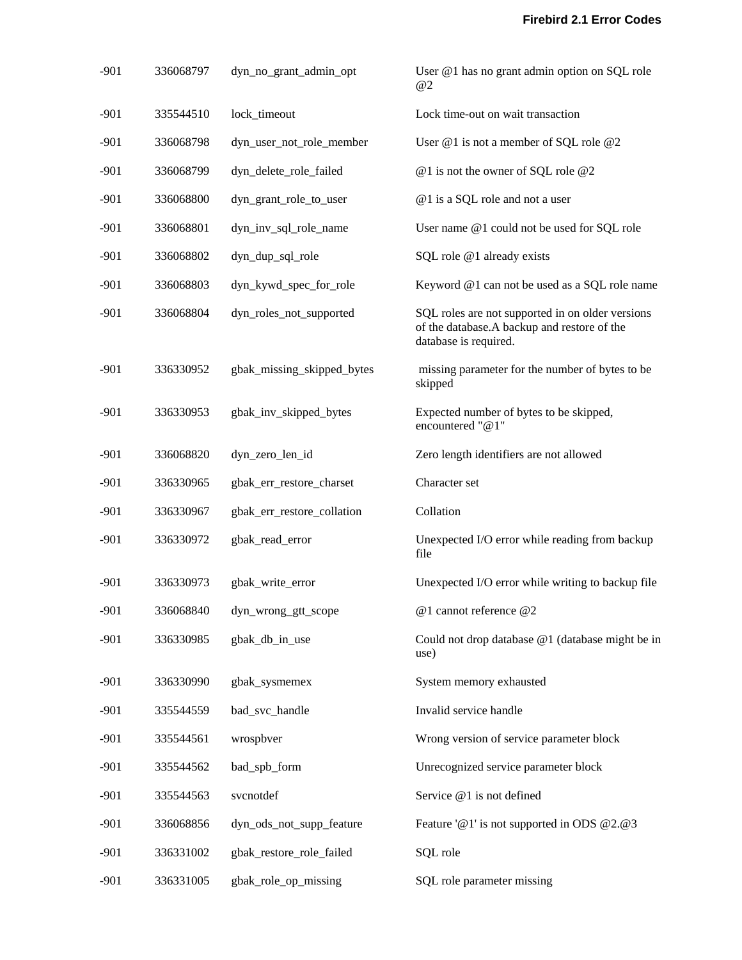| $-901$ | 336068797 | dyn_no_grant_admin_opt     | User @1 has no grant admin option on SQL role<br>@2                                                                      |
|--------|-----------|----------------------------|--------------------------------------------------------------------------------------------------------------------------|
| $-901$ | 335544510 | lock_timeout               | Lock time-out on wait transaction                                                                                        |
| $-901$ | 336068798 | dyn_user_not_role_member   | User $@1$ is not a member of SQL role $@2$                                                                               |
| $-901$ | 336068799 | dyn_delete_role_failed     | $@1$ is not the owner of SQL role $@2$                                                                                   |
| $-901$ | 336068800 | dyn_grant_role_to_user     | @1 is a SQL role and not a user                                                                                          |
| $-901$ | 336068801 | dyn_inv_sql_role_name      | User name @1 could not be used for SQL role                                                                              |
| $-901$ | 336068802 | dyn_dup_sql_role           | SQL role @1 already exists                                                                                               |
| $-901$ | 336068803 | dyn_kywd_spec_for_role     | Keyword @1 can not be used as a SQL role name                                                                            |
| $-901$ | 336068804 | dyn_roles_not_supported    | SQL roles are not supported in on older versions<br>of the database.A backup and restore of the<br>database is required. |
| $-901$ | 336330952 | gbak_missing_skipped_bytes | missing parameter for the number of bytes to be<br>skipped                                                               |
| $-901$ | 336330953 | gbak_inv_skipped_bytes     | Expected number of bytes to be skipped,<br>encountered "@1"                                                              |
| $-901$ | 336068820 | dyn_zero_len_id            | Zero length identifiers are not allowed                                                                                  |
| $-901$ | 336330965 | gbak_err_restore_charset   | Character set                                                                                                            |
| $-901$ | 336330967 | gbak_err_restore_collation | Collation                                                                                                                |
| $-901$ | 336330972 | gbak_read_error            | Unexpected I/O error while reading from backup<br>file                                                                   |
| $-901$ | 336330973 | gbak_write_error           | Unexpected I/O error while writing to backup file                                                                        |
| $-901$ | 336068840 | dyn_wrong_gtt_scope        | @1 cannot reference @2                                                                                                   |
| $-901$ | 336330985 | gbak_db_in_use             | Could not drop database @1 (database might be in<br>use)                                                                 |
| $-901$ | 336330990 | gbak_sysmemex              | System memory exhausted                                                                                                  |
| $-901$ | 335544559 | bad_svc_handle             | Invalid service handle                                                                                                   |
| $-901$ | 335544561 | wrospbver                  | Wrong version of service parameter block                                                                                 |
| $-901$ | 335544562 | bad_spb_form               | Unrecognized service parameter block                                                                                     |
| $-901$ | 335544563 | svcnotdef                  | Service @1 is not defined                                                                                                |
| $-901$ | 336068856 | dyn_ods_not_supp_feature   | Feature '@1' is not supported in ODS @2.@3                                                                               |
| $-901$ | 336331002 | gbak_restore_role_failed   | SQL role                                                                                                                 |
| $-901$ | 336331005 | gbak_role_op_missing       | SQL role parameter missing                                                                                               |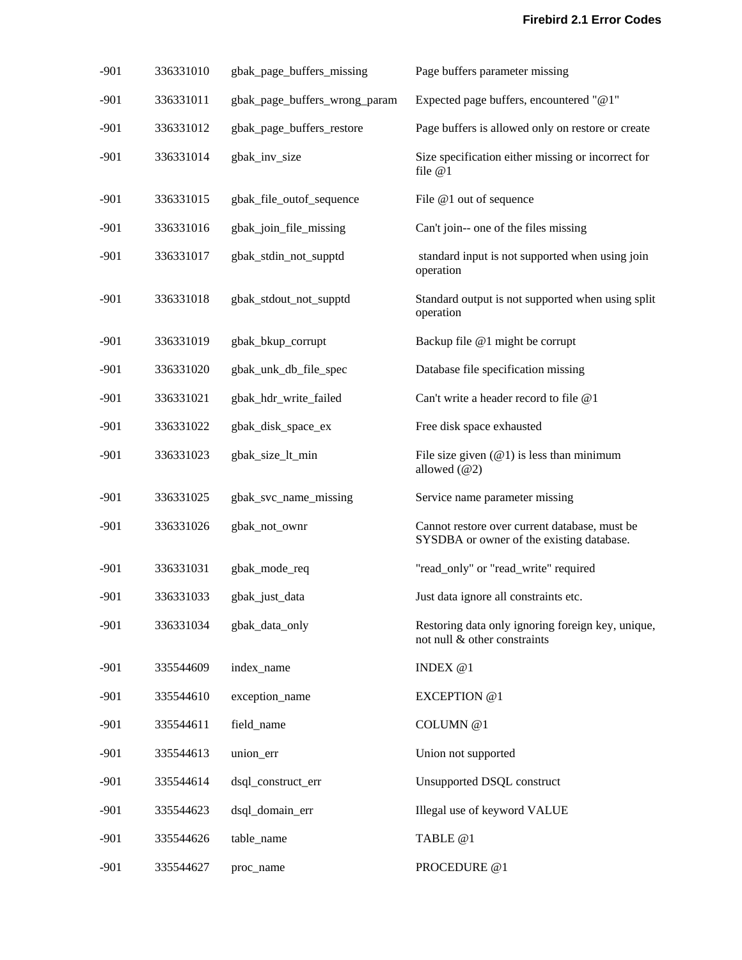| $-901$ | 336331010 | gbak_page_buffers_missing     | Page buffers parameter missing                                                             |
|--------|-----------|-------------------------------|--------------------------------------------------------------------------------------------|
| $-901$ | 336331011 | gbak_page_buffers_wrong_param | Expected page buffers, encountered "@1"                                                    |
| $-901$ | 336331012 | gbak_page_buffers_restore     | Page buffers is allowed only on restore or create                                          |
| $-901$ | 336331014 | gbak_inv_size                 | Size specification either missing or incorrect for<br>file @1                              |
| $-901$ | 336331015 | gbak_file_outof_sequence      | File @1 out of sequence                                                                    |
| $-901$ | 336331016 | gbak_join_file_missing        | Can't join-- one of the files missing                                                      |
| $-901$ | 336331017 | gbak_stdin_not_supptd         | standard input is not supported when using join<br>operation                               |
| $-901$ | 336331018 | gbak_stdout_not_supptd        | Standard output is not supported when using split<br>operation                             |
| $-901$ | 336331019 | gbak_bkup_corrupt             | Backup file @1 might be corrupt                                                            |
| $-901$ | 336331020 | gbak_unk_db_file_spec         | Database file specification missing                                                        |
| $-901$ | 336331021 | gbak_hdr_write_failed         | Can't write a header record to file @1                                                     |
| $-901$ | 336331022 | gbak_disk_space_ex            | Free disk space exhausted                                                                  |
| $-901$ | 336331023 | gbak_size_lt_min              | File size given $(@1)$ is less than minimum<br>allowed $(\omega_2)$                        |
| $-901$ | 336331025 | gbak_svc_name_missing         | Service name parameter missing                                                             |
| $-901$ | 336331026 | gbak_not_ownr                 | Cannot restore over current database, must be<br>SYSDBA or owner of the existing database. |
| $-901$ | 336331031 | gbak_mode_req                 | "read_only" or "read_write" required                                                       |
| $-901$ | 336331033 | gbak_just_data                | Just data ignore all constraints etc.                                                      |
| $-901$ | 336331034 | gbak_data_only                | Restoring data only ignoring foreign key, unique,<br>not null & other constraints          |
| $-901$ | 335544609 | index_name                    | INDEX @1                                                                                   |
| $-901$ | 335544610 | exception_name                | EXCEPTION @1                                                                               |
| $-901$ | 335544611 | field_name                    | COLUMN @1                                                                                  |
| $-901$ | 335544613 | union_err                     | Union not supported                                                                        |
| $-901$ | 335544614 | dsql_construct_err            | Unsupported DSQL construct                                                                 |
| $-901$ | 335544623 | dsql_domain_err               | Illegal use of keyword VALUE                                                               |
| $-901$ | 335544626 | table_name                    | TABLE @1                                                                                   |
| $-901$ | 335544627 | proc_name                     | PROCEDURE @1                                                                               |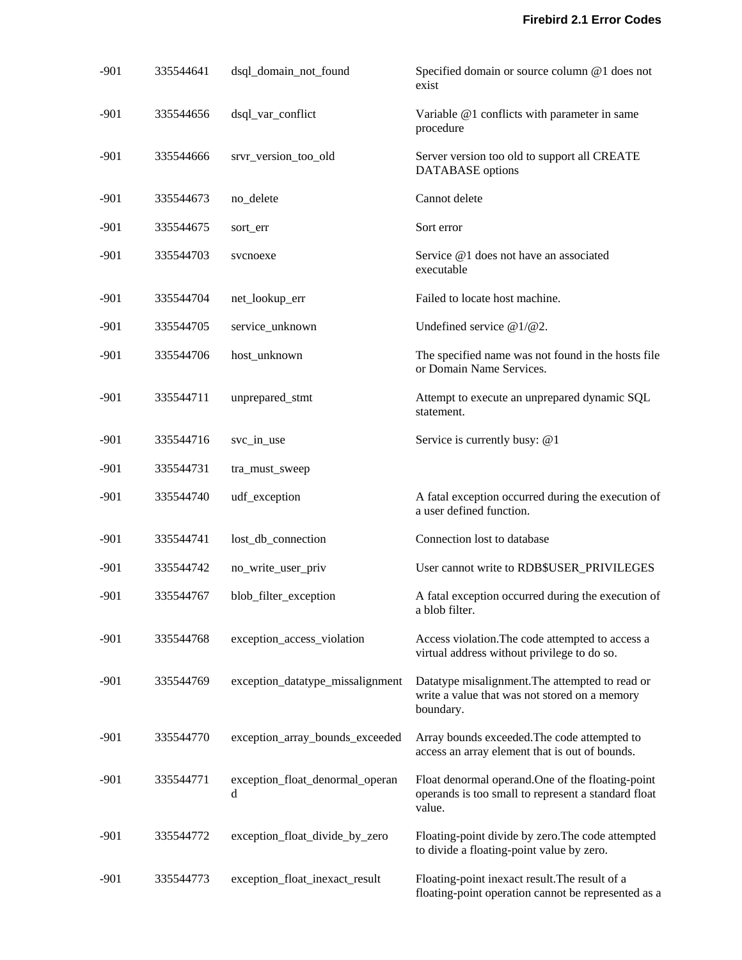| $-901$ | 335544641 | dsql_domain_not_found                | Specified domain or source column @1 does not<br>exist                                                             |
|--------|-----------|--------------------------------------|--------------------------------------------------------------------------------------------------------------------|
| $-901$ | 335544656 | dsql_var_conflict                    | Variable @1 conflicts with parameter in same<br>procedure                                                          |
| $-901$ | 335544666 | srvr_version_too_old                 | Server version too old to support all CREATE<br>DATABASE options                                                   |
| $-901$ | 335544673 | no delete                            | Cannot delete                                                                                                      |
| $-901$ | 335544675 | sort_err                             | Sort error                                                                                                         |
| $-901$ | 335544703 | svcnoexe                             | Service @1 does not have an associated<br>executable                                                               |
| $-901$ | 335544704 | net_lookup_err                       | Failed to locate host machine.                                                                                     |
| $-901$ | 335544705 | service_unknown                      | Undefined service $@1/@2$ .                                                                                        |
| $-901$ | 335544706 | host_unknown                         | The specified name was not found in the hosts file<br>or Domain Name Services.                                     |
| $-901$ | 335544711 | unprepared_stmt                      | Attempt to execute an unprepared dynamic SQL<br>statement.                                                         |
| $-901$ | 335544716 | svc_in_use                           | Service is currently busy: @1                                                                                      |
| $-901$ | 335544731 | tra_must_sweep                       |                                                                                                                    |
| $-901$ | 335544740 | udf_exception                        | A fatal exception occurred during the execution of<br>a user defined function.                                     |
| $-901$ | 335544741 | lost_db_connection                   | Connection lost to database                                                                                        |
| $-901$ | 335544742 | no_write_user_priv                   | User cannot write to RDB\$USER_PRIVILEGES                                                                          |
| $-901$ | 335544767 | blob_filter_exception                | A fatal exception occurred during the execution of<br>a blob filter.                                               |
| $-901$ | 335544768 | exception_access_violation           | Access violation. The code attempted to access a<br>virtual address without privilege to do so.                    |
| $-901$ | 335544769 | exception_datatype_missalignment     | Datatype misalignment. The attempted to read or<br>write a value that was not stored on a memory<br>boundary.      |
| $-901$ | 335544770 | exception_array_bounds_exceeded      | Array bounds exceeded. The code attempted to<br>access an array element that is out of bounds.                     |
| $-901$ | 335544771 | exception_float_denormal_operan<br>d | Float denormal operand. One of the floating-point<br>operands is too small to represent a standard float<br>value. |
| $-901$ | 335544772 | exception_float_divide_by_zero       | Floating-point divide by zero. The code attempted<br>to divide a floating-point value by zero.                     |
| $-901$ | 335544773 | exception_float_inexact_result       | Floating-point inexact result. The result of a<br>floating-point operation cannot be represented as a              |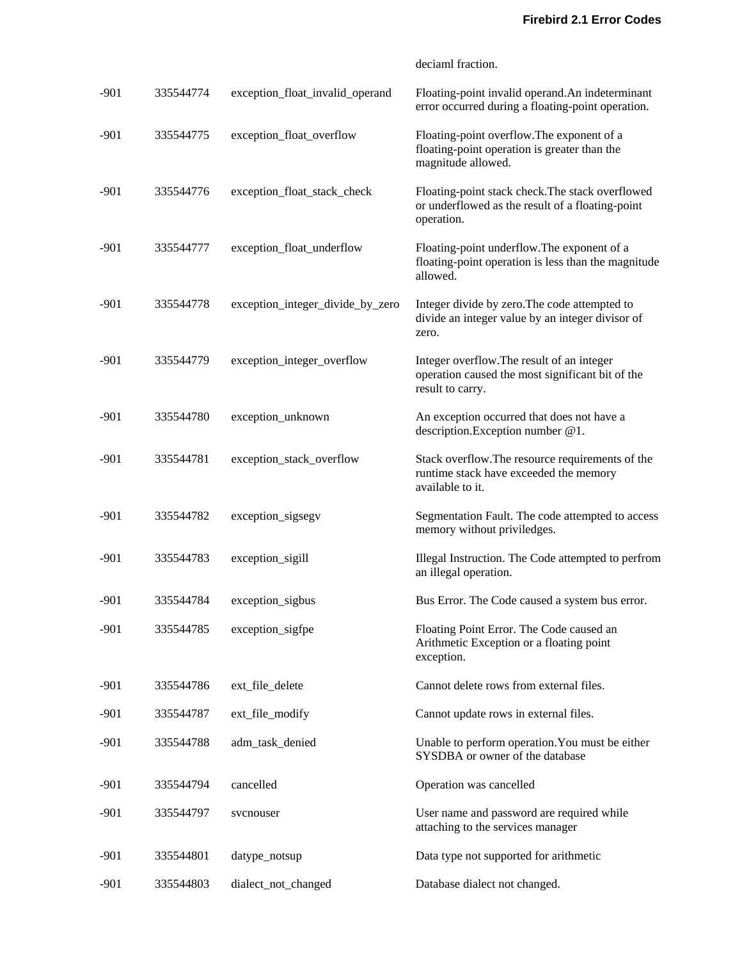## deciaml fraction.

| $-901$ | 335544774 | exception_float_invalid_operand  | Floating-point invalid operand.An indeterminant<br>error occurred during a floating-point operation.               |
|--------|-----------|----------------------------------|--------------------------------------------------------------------------------------------------------------------|
| $-901$ | 335544775 | exception_float_overflow         | Floating-point overflow. The exponent of a<br>floating-point operation is greater than the<br>magnitude allowed.   |
| $-901$ | 335544776 | exception_float_stack_check      | Floating-point stack check. The stack overflowed<br>or underflowed as the result of a floating-point<br>operation. |
| $-901$ | 335544777 | exception_float_underflow        | Floating-point underflow. The exponent of a<br>floating-point operation is less than the magnitude<br>allowed.     |
| $-901$ | 335544778 | exception_integer_divide_by_zero | Integer divide by zero. The code attempted to<br>divide an integer value by an integer divisor of<br>zero.         |
| $-901$ | 335544779 | exception_integer_overflow       | Integer overflow. The result of an integer<br>operation caused the most significant bit of the<br>result to carry. |
| $-901$ | 335544780 | exception_unknown                | An exception occurred that does not have a<br>description.Exception number @1.                                     |
| $-901$ | 335544781 | exception_stack_overflow         | Stack overflow. The resource requirements of the<br>runtime stack have exceeded the memory<br>available to it.     |
| $-901$ | 335544782 | exception_sigsegv                | Segmentation Fault. The code attempted to access<br>memory without priviledges.                                    |
| $-901$ | 335544783 | exception_sigill                 | Illegal Instruction. The Code attempted to perfrom<br>an illegal operation.                                        |
| $-901$ | 335544784 | exception_sigbus                 | Bus Error. The Code caused a system bus error.                                                                     |
| $-901$ | 335544785 | exception_sigfpe                 | Floating Point Error. The Code caused an<br>Arithmetic Exception or a floating point<br>exception.                 |
| $-901$ | 335544786 | ext_file_delete                  | Cannot delete rows from external files.                                                                            |
| $-901$ | 335544787 | ext_file_modify                  | Cannot update rows in external files.                                                                              |
| $-901$ | 335544788 | adm_task_denied                  | Unable to perform operation. You must be either<br>SYSDBA or owner of the database                                 |
| $-901$ | 335544794 | cancelled                        | Operation was cancelled                                                                                            |
| $-901$ | 335544797 | svcnouser                        | User name and password are required while<br>attaching to the services manager                                     |
| $-901$ | 335544801 | datype_notsup                    | Data type not supported for arithmetic                                                                             |
| $-901$ | 335544803 | dialect_not_changed              | Database dialect not changed.                                                                                      |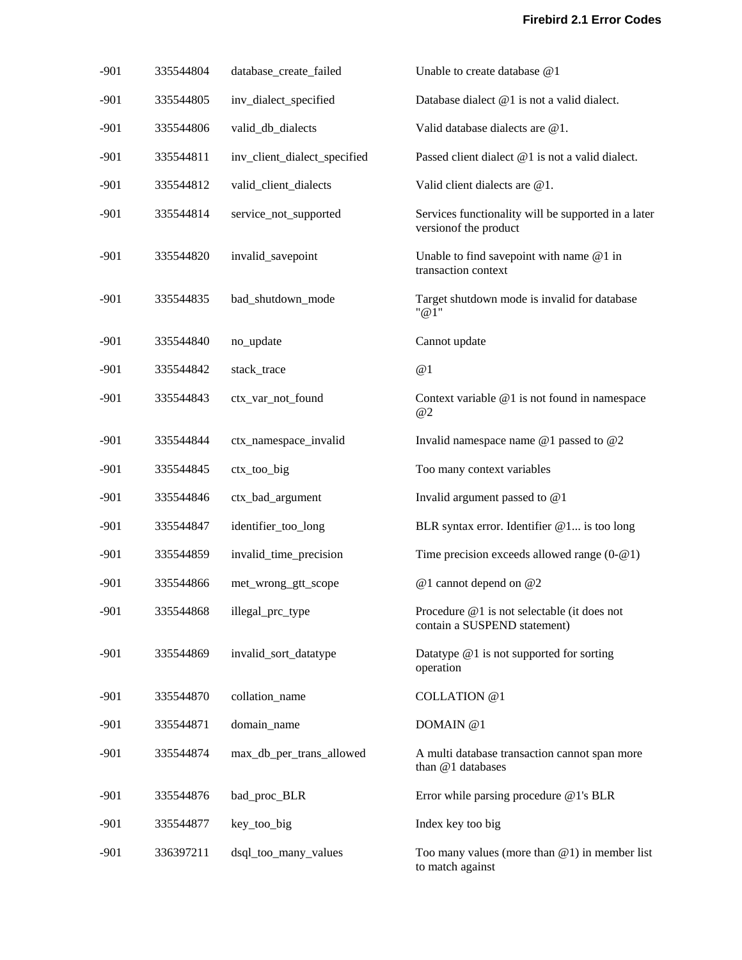| -901   | 335544804 | database_create_failed       | Unable to create database $@1$                                                |
|--------|-----------|------------------------------|-------------------------------------------------------------------------------|
| $-901$ | 335544805 | inv_dialect_specified        | Database dialect $@1$ is not a valid dialect.                                 |
| $-901$ | 335544806 | valid_db_dialects            | Valid database dialects are @1.                                               |
| $-901$ | 335544811 | inv_client_dialect_specified | Passed client dialect @1 is not a valid dialect.                              |
| $-901$ | 335544812 | valid_client_dialects        | Valid client dialects are @1.                                                 |
| $-901$ | 335544814 | service_not_supported        | Services functionality will be supported in a later<br>version of the product |
| $-901$ | 335544820 | invalid_savepoint            | Unable to find savepoint with name $@1$ in<br>transaction context             |
| $-901$ | 335544835 | bad_shutdown_mode            | Target shutdown mode is invalid for database<br>"@1"                          |
| $-901$ | 335544840 | no_update                    | Cannot update                                                                 |
| $-901$ | 335544842 | stack trace                  | @1                                                                            |
| $-901$ | 335544843 | ctx_var_not_found            | Context variable @1 is not found in namespace<br>@2                           |
| $-901$ | 335544844 | ctx_namespace_invalid        | Invalid namespace name $@1$ passed to $@2$                                    |
| $-901$ | 335544845 | ctx_too_big                  | Too many context variables                                                    |
| $-901$ | 335544846 | ctx_bad_argument             | Invalid argument passed to @1                                                 |
| $-901$ | 335544847 | identifier_too_long          | BLR syntax error. Identifier @1 is too long                                   |
| $-901$ | 335544859 | invalid_time_precision       | Time precision exceeds allowed range $(0 - \mathcal{Q} 1)$                    |
| $-901$ | 335544866 | met_wrong_gtt_scope          | @1 cannot depend on @2                                                        |
| $-901$ | 335544868 | illegal_prc_type             | Procedure @1 is not selectable (it does not<br>contain a SUSPEND statement)   |
| $-901$ | 335544869 | invalid_sort_datatype        | Datatype $@1$ is not supported for sorting<br>operation                       |
| $-901$ | 335544870 | collation name               | <b>COLLATION</b> @1                                                           |
| $-901$ | 335544871 | domain_name                  | DOMAIN @1                                                                     |
| $-901$ | 335544874 | max_db_per_trans_allowed     | A multi database transaction cannot span more<br>than @1 databases            |
| $-901$ | 335544876 | bad_proc_BLR                 | Error while parsing procedure $@1's$ BLR                                      |
| $-901$ | 335544877 | key_too_big                  | Index key too big                                                             |
| $-901$ | 336397211 | dsql_too_many_values         | Too many values (more than $@1$ ) in member list<br>to match against          |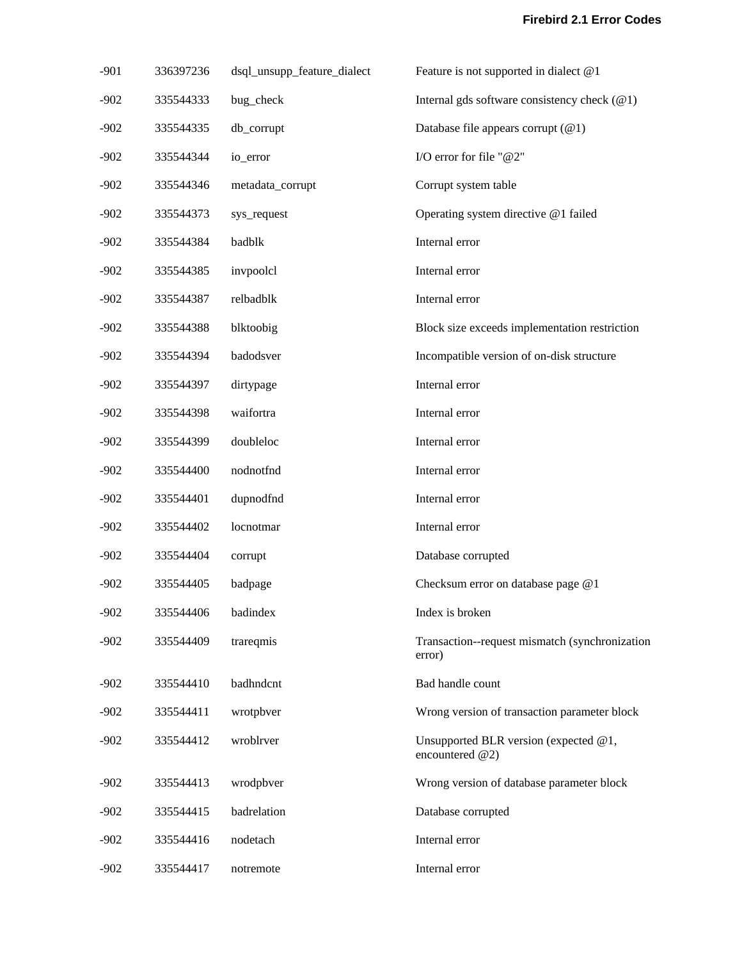| $-901$ | 336397236 | dsql_unsupp_feature_dialect | Feature is not supported in dialect @1                        |
|--------|-----------|-----------------------------|---------------------------------------------------------------|
| $-902$ | 335544333 | bug_check                   | Internal gds software consistency check $(\mathcal{Q}_1)$     |
| $-902$ | 335544335 | db_corrupt                  | Database file appears corrupt $(\mathcal{Q}_1)$               |
| $-902$ | 335544344 | io_error                    | I/O error for file "@2"                                       |
| $-902$ | 335544346 | metadata_corrupt            | Corrupt system table                                          |
| $-902$ | 335544373 | sys_request                 | Operating system directive @1 failed                          |
| $-902$ | 335544384 | badblk                      | Internal error                                                |
| $-902$ | 335544385 | invpoolcl                   | Internal error                                                |
| $-902$ | 335544387 | relbadblk                   | Internal error                                                |
| $-902$ | 335544388 | blktoobig                   | Block size exceeds implementation restriction                 |
| $-902$ | 335544394 | badodsver                   | Incompatible version of on-disk structure                     |
| $-902$ | 335544397 | dirtypage                   | Internal error                                                |
| $-902$ | 335544398 | waifortra                   | Internal error                                                |
| $-902$ | 335544399 | doubleloc                   | Internal error                                                |
| $-902$ | 335544400 | nodnotfnd                   | Internal error                                                |
| $-902$ | 335544401 | dupnodfnd                   | Internal error                                                |
| $-902$ | 335544402 | locnotmar                   | Internal error                                                |
| $-902$ | 335544404 | corrupt                     | Database corrupted                                            |
| $-902$ | 335544405 | badpage                     | Checksum error on database page @1                            |
| $-902$ | 335544406 | badindex                    | Index is broken                                               |
| $-902$ | 335544409 | trareqmis                   | Transaction--request mismatch (synchronization<br>error)      |
| $-902$ | 335544410 | badhndcnt                   | Bad handle count                                              |
| $-902$ | 335544411 | wrotpbver                   | Wrong version of transaction parameter block                  |
| $-902$ | 335544412 | wroblrver                   | Unsupported BLR version (expected $@1$ ,<br>encountered $@2)$ |
| $-902$ | 335544413 | wrodpbver                   | Wrong version of database parameter block                     |
| -902   | 335544415 | badrelation                 | Database corrupted                                            |
| $-902$ | 335544416 | nodetach                    | Internal error                                                |
| $-902$ | 335544417 | notremote                   | Internal error                                                |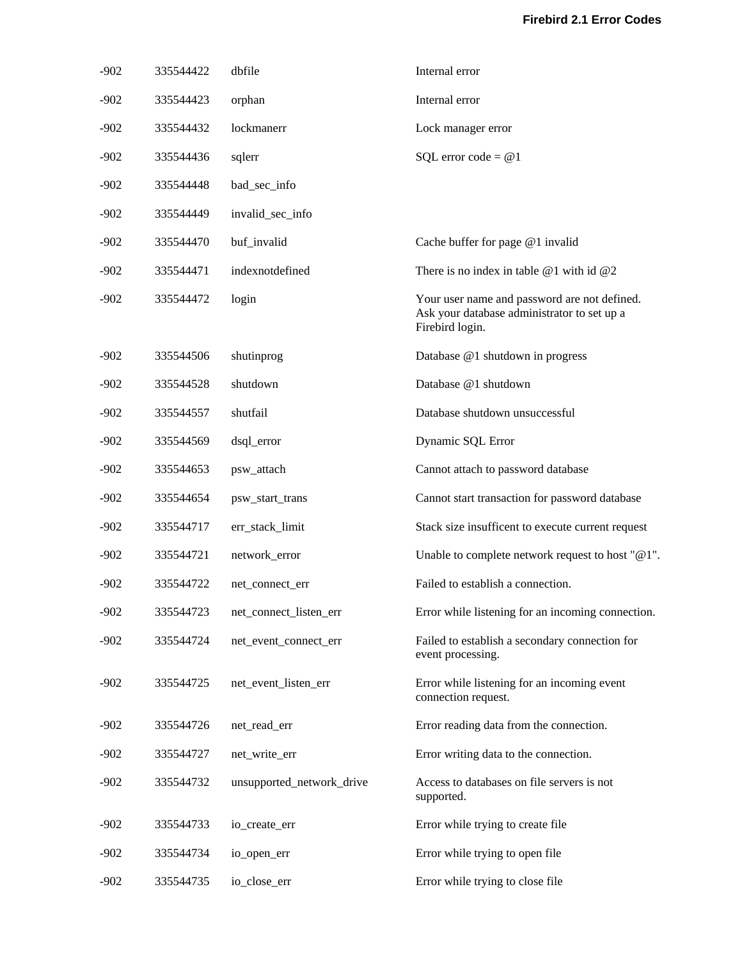| $-902$ | 335544422 | dbfile                    | Internal error                                                                                                 |
|--------|-----------|---------------------------|----------------------------------------------------------------------------------------------------------------|
| $-902$ | 335544423 | orphan                    | Internal error                                                                                                 |
| $-902$ | 335544432 | lockmanerr                | Lock manager error                                                                                             |
| $-902$ | 335544436 | sqlerr                    | SQL error code = $@1$                                                                                          |
| $-902$ | 335544448 | bad_sec_info              |                                                                                                                |
| $-902$ | 335544449 | invalid_sec_info          |                                                                                                                |
| $-902$ | 335544470 | buf_invalid               | Cache buffer for page $@1$ invalid                                                                             |
| $-902$ | 335544471 | indexnotdefined           | There is no index in table $@1$ with id $@2$                                                                   |
| $-902$ | 335544472 | login                     | Your user name and password are not defined.<br>Ask your database administrator to set up a<br>Firebird login. |
| $-902$ | 335544506 | shutinprog                | Database @1 shutdown in progress                                                                               |
| $-902$ | 335544528 | shutdown                  | Database @1 shutdown                                                                                           |
| $-902$ | 335544557 | shutfail                  | Database shutdown unsuccessful                                                                                 |
| $-902$ | 335544569 | dsql_error                | Dynamic SQL Error                                                                                              |
| $-902$ | 335544653 | psw_attach                | Cannot attach to password database                                                                             |
| $-902$ | 335544654 | psw_start_trans           | Cannot start transaction for password database                                                                 |
| $-902$ | 335544717 | err_stack_limit           | Stack size insufficent to execute current request                                                              |
| $-902$ | 335544721 | network_error             | Unable to complete network request to host "@1".                                                               |
| $-902$ | 335544722 | net_connect_err           | Failed to establish a connection.                                                                              |
| $-902$ | 335544723 | net_connect_listen_err    | Error while listening for an incoming connection.                                                              |
| $-902$ | 335544724 | net_event_connect_err     | Failed to establish a secondary connection for<br>event processing.                                            |
| $-902$ | 335544725 | net_event_listen_err      | Error while listening for an incoming event<br>connection request.                                             |
| $-902$ | 335544726 | net_read_err              | Error reading data from the connection.                                                                        |
| $-902$ | 335544727 | net_write_err             | Error writing data to the connection.                                                                          |
| $-902$ | 335544732 | unsupported_network_drive | Access to databases on file servers is not<br>supported.                                                       |
| $-902$ | 335544733 | io_create_err             | Error while trying to create file                                                                              |
| $-902$ | 335544734 | io_open_err               | Error while trying to open file                                                                                |
| $-902$ | 335544735 | io_close_err              | Error while trying to close file                                                                               |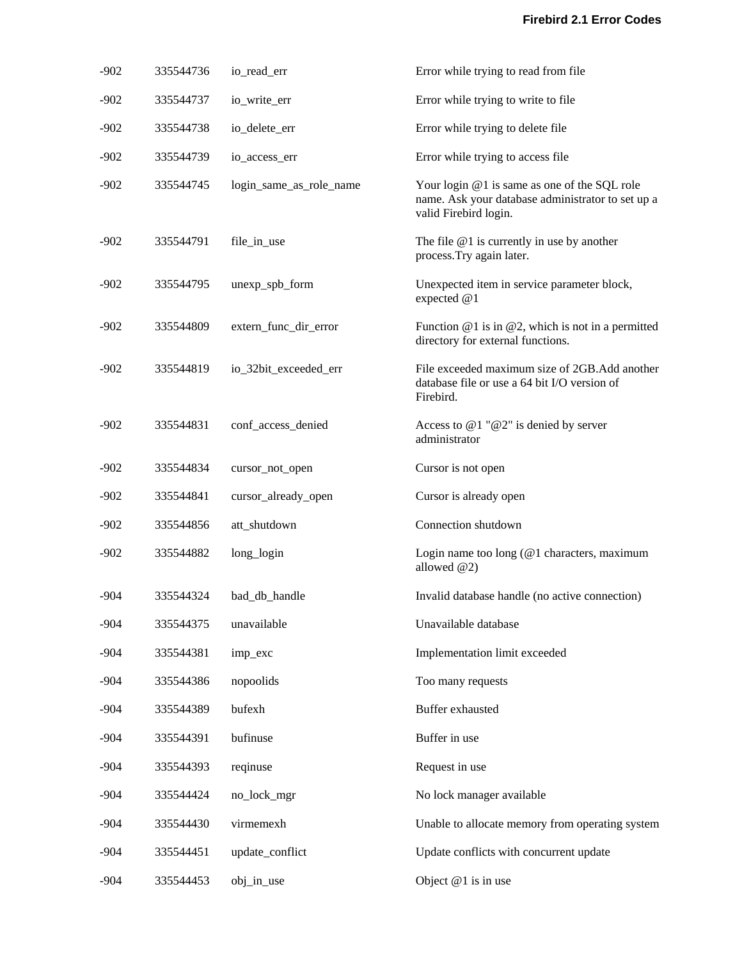| $-902$ | 335544736 | io_read_err             | Error while trying to read from file                                                                                         |
|--------|-----------|-------------------------|------------------------------------------------------------------------------------------------------------------------------|
| $-902$ | 335544737 | io_write_err            | Error while trying to write to file                                                                                          |
| $-902$ | 335544738 | io_delete_err           | Error while trying to delete file                                                                                            |
| $-902$ | 335544739 | io_access_err           | Error while trying to access file                                                                                            |
| $-902$ | 335544745 | login_same_as_role_name | Your login $@1$ is same as one of the SQL role<br>name. Ask your database administrator to set up a<br>valid Firebird login. |
| $-902$ | 335544791 | file_in_use             | The file $@1$ is currently in use by another<br>process. Try again later.                                                    |
| $-902$ | 335544795 | unexp_spb_form          | Unexpected item in service parameter block,<br>expected @1                                                                   |
| $-902$ | 335544809 | extern_func_dir_error   | Function $@1$ is in $@2$ , which is not in a permitted<br>directory for external functions.                                  |
| $-902$ | 335544819 | io_32bit_exceeded_err   | File exceeded maximum size of 2GB.Add another<br>database file or use a 64 bit I/O version of<br>Firebird.                   |
| $-902$ | 335544831 | conf_access_denied      | Access to $@1"@2"$ is denied by server<br>administrator                                                                      |
| $-902$ | 335544834 | cursor_not_open         | Cursor is not open                                                                                                           |
| $-902$ | 335544841 | cursor_already_open     | Cursor is already open                                                                                                       |
| $-902$ | 335544856 | att_shutdown            | Connection shutdown                                                                                                          |
| -902   | 335544882 | long_login              | Login name too long ( $@1$ characters, maximum<br>allowed $@2)$                                                              |
| $-904$ | 335544324 | bad_db_handle           | Invalid database handle (no active connection)                                                                               |
| $-904$ | 335544375 | unavailable             | Unavailable database                                                                                                         |
| $-904$ | 335544381 | imp_exc                 | Implementation limit exceeded                                                                                                |
| $-904$ | 335544386 | nopoolids               | Too many requests                                                                                                            |
| $-904$ | 335544389 | bufexh                  | Buffer exhausted                                                                                                             |
| $-904$ | 335544391 | bufinuse                | Buffer in use                                                                                                                |
| $-904$ | 335544393 | reqinuse                | Request in use                                                                                                               |
| $-904$ | 335544424 | no_lock_mgr             | No lock manager available                                                                                                    |
| $-904$ | 335544430 | virmemexh               | Unable to allocate memory from operating system                                                                              |
| $-904$ | 335544451 | update_conflict         | Update conflicts with concurrent update                                                                                      |
| $-904$ | 335544453 | obj_in_use              | Object @1 is in use                                                                                                          |
|        |           |                         |                                                                                                                              |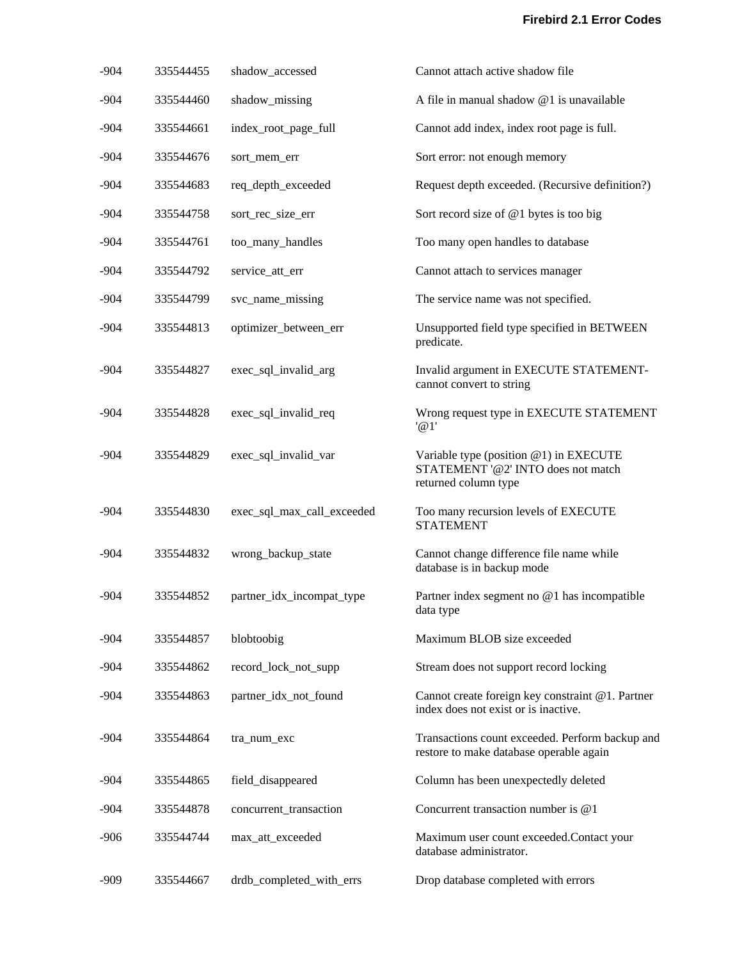| $-904$ | 335544455 | shadow_accessed            | Cannot attach active shadow file                                                                     |
|--------|-----------|----------------------------|------------------------------------------------------------------------------------------------------|
| $-904$ | 335544460 | shadow_missing             | A file in manual shadow @1 is unavailable                                                            |
| $-904$ | 335544661 | index_root_page_full       | Cannot add index, index root page is full.                                                           |
| $-904$ | 335544676 | sort_mem_err               | Sort error: not enough memory                                                                        |
| $-904$ | 335544683 | req_depth_exceeded         | Request depth exceeded. (Recursive definition?)                                                      |
| -904   | 335544758 | sort_rec_size_err          | Sort record size of $@1$ bytes is too big                                                            |
| $-904$ | 335544761 | too_many_handles           | Too many open handles to database                                                                    |
| $-904$ | 335544792 | service_att_err            | Cannot attach to services manager                                                                    |
| $-904$ | 335544799 | svc_name_missing           | The service name was not specified.                                                                  |
| $-904$ | 335544813 | optimizer_between_err      | Unsupported field type specified in BETWEEN<br>predicate.                                            |
| $-904$ | 335544827 | exec_sql_invalid_arg       | Invalid argument in EXECUTE STATEMENT-<br>cannot convert to string                                   |
| $-904$ | 335544828 | exec_sql_invalid_req       | Wrong request type in EXECUTE STATEMENT<br>'@1'                                                      |
| $-904$ | 335544829 | exec_sql_invalid_var       | Variable type (position @1) in EXECUTE<br>STATEMENT '@2' INTO does not match<br>returned column type |
| $-904$ | 335544830 | exec_sql_max_call_exceeded | Too many recursion levels of EXECUTE<br><b>STATEMENT</b>                                             |
| -904   | 335544832 | wrong_backup_state         | Cannot change difference file name while<br>database is in backup mode                               |
| $-904$ | 335544852 | partner_idx_incompat_type  | Partner index segment no @1 has incompatible<br>data type                                            |
| $-904$ | 335544857 | blobtoobig                 | Maximum BLOB size exceeded                                                                           |
| -904   | 335544862 | record_lock_not_supp       | Stream does not support record locking                                                               |
| -904   | 335544863 | partner_idx_not_found      | Cannot create foreign key constraint @1. Partner<br>index does not exist or is inactive.             |
| $-904$ | 335544864 | tra_num_exc                | Transactions count exceeded. Perform backup and<br>restore to make database operable again           |
| -904   | 335544865 | field_disappeared          | Column has been unexpectedly deleted                                                                 |
| -904   | 335544878 | concurrent_transaction     | Concurrent transaction number is $@1$                                                                |
| -906   | 335544744 | max_att_exceeded           | Maximum user count exceeded.Contact your<br>database administrator.                                  |
| $-909$ | 335544667 | drdb_completed_with_errs   | Drop database completed with errors                                                                  |